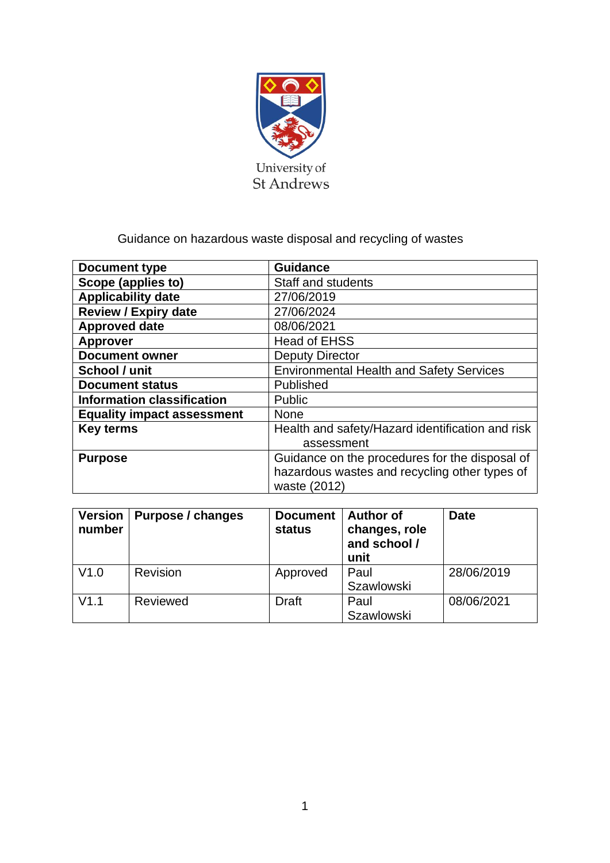

# Guidance on hazardous waste disposal and recycling of wastes

| Document type                                   | <b>Guidance</b>                                  |  |
|-------------------------------------------------|--------------------------------------------------|--|
| Scope (applies to)                              | Staff and students                               |  |
| <b>Applicability date</b>                       | 27/06/2019                                       |  |
| <b>Review / Expiry date</b>                     | 27/06/2024                                       |  |
| <b>Approved date</b>                            | 08/06/2021                                       |  |
| <b>Approver</b>                                 | <b>Head of EHSS</b>                              |  |
| <b>Document owner</b><br><b>Deputy Director</b> |                                                  |  |
| School / unit                                   | <b>Environmental Health and Safety Services</b>  |  |
| <b>Document status</b>                          | Published                                        |  |
| <b>Information classification</b>               | Public                                           |  |
| <b>Equality impact assessment</b>               | <b>None</b>                                      |  |
| <b>Key terms</b>                                | Health and safety/Hazard identification and risk |  |
|                                                 | assessment                                       |  |
| <b>Purpose</b>                                  | Guidance on the procedures for the disposal of   |  |
|                                                 | hazardous wastes and recycling other types of    |  |
|                                                 | waste (2012)                                     |  |

| <b>Version</b><br>number | Purpose / changes | <b>Document</b><br><b>status</b> | <b>Author of</b><br>changes, role<br>and school /<br>unit | <b>Date</b> |
|--------------------------|-------------------|----------------------------------|-----------------------------------------------------------|-------------|
| V1.0                     | Revision          | Approved                         | Paul<br><b>Szawlowski</b>                                 | 28/06/2019  |
| V1.1                     | Reviewed          | Draft                            | Paul<br><b>Szawlowski</b>                                 | 08/06/2021  |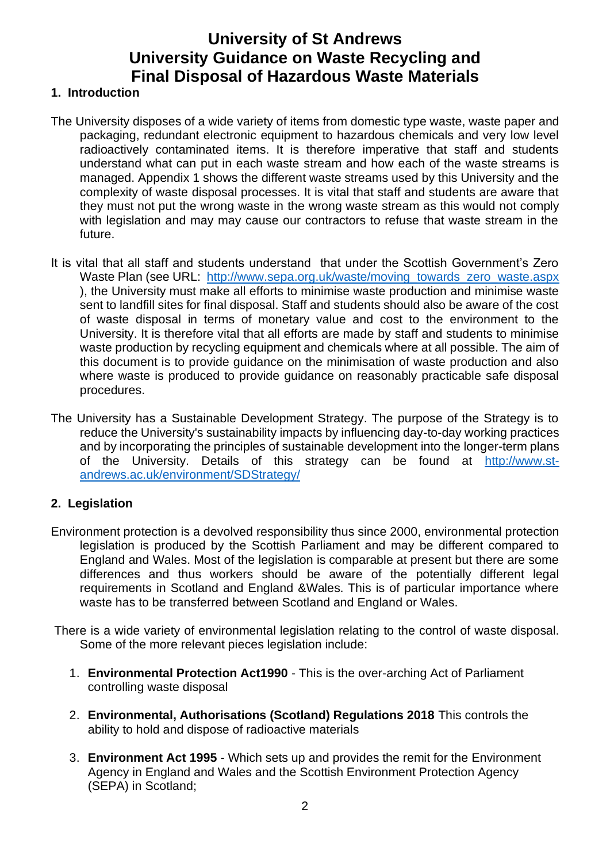# **University of St Andrews University Guidance on Waste Recycling and Final Disposal of Hazardous Waste Materials**

### **1. Introduction**

- The University disposes of a wide variety of items from domestic type waste, waste paper and packaging, redundant electronic equipment to hazardous chemicals and very low level radioactively contaminated items. It is therefore imperative that staff and students understand what can put in each waste stream and how each of the waste streams is managed. Appendix 1 shows the different waste streams used by this University and the complexity of waste disposal processes. It is vital that staff and students are aware that they must not put the wrong waste in the wrong waste stream as this would not comply with legislation and may may cause our contractors to refuse that waste stream in the future.
- It is vital that all staff and students understand that under the Scottish Government's Zero Waste Plan (see URL: [http://www.sepa.org.uk/waste/moving\\_towards\\_zero\\_waste.aspx](http://www.sepa.org.uk/waste/moving_towards_zero_waste.aspx) ), the University must make all efforts to minimise waste production and minimise waste sent to landfill sites for final disposal. Staff and students should also be aware of the cost of waste disposal in terms of monetary value and cost to the environment to the University. It is therefore vital that all efforts are made by staff and students to minimise waste production by recycling equipment and chemicals where at all possible. The aim of this document is to provide guidance on the minimisation of waste production and also where waste is produced to provide guidance on reasonably practicable safe disposal procedures.
- The University has a Sustainable Development Strategy. The purpose of the Strategy is to reduce the University's sustainability impacts by influencing day-to-day working practices and by incorporating the principles of sustainable development into the longer-term plans of the University. Details of this strategy can be found at [http://www.st](http://www.st-andrews.ac.uk/environment/SDStrategy/)[andrews.ac.uk/environment/SDStrategy/](http://www.st-andrews.ac.uk/environment/SDStrategy/)

# **2. Legislation**

- Environment protection is a devolved responsibility thus since 2000, environmental protection legislation is produced by the Scottish Parliament and may be different compared to England and Wales. Most of the legislation is comparable at present but there are some differences and thus workers should be aware of the potentially different legal requirements in Scotland and England &Wales. This is of particular importance where waste has to be transferred between Scotland and England or Wales.
- There is a wide variety of environmental legislation relating to the control of waste disposal. Some of the more relevant pieces legislation include:
	- 1. **Environmental Protection Act1990** This is the over-arching Act of Parliament controlling waste disposal
	- 2. **Environmental, Authorisations (Scotland) Regulations 2018** This controls the ability to hold and dispose of radioactive materials
	- 3. **Environment Act 1995** Which sets up and provides the remit for the Environment Agency in England and Wales and the Scottish Environment Protection Agency (SEPA) in Scotland;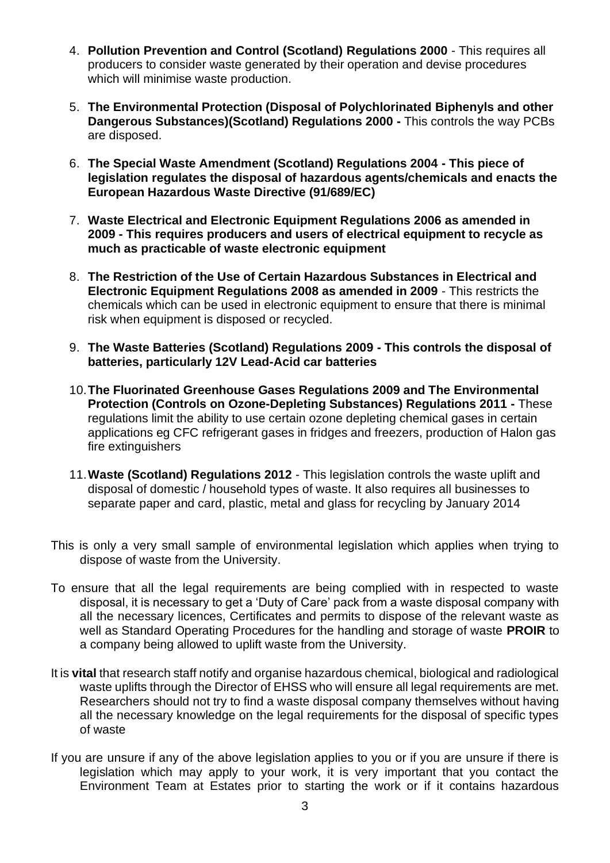- 4. **Pollution Prevention and Control (Scotland) Regulations 2000** This requires all producers to consider waste generated by their operation and devise procedures which will minimise waste production.
- 5. **The Environmental Protection (Disposal of Polychlorinated Biphenyls and other Dangerous Substances)(Scotland) Regulations 2000 -** This controls the way PCBs are disposed.
- 6. **The Special Waste Amendment (Scotland) Regulations 2004 - This piece of legislation regulates the disposal of hazardous agents/chemicals and enacts the European Hazardous Waste Directive (91/689/EC)**
- 7. **Waste Electrical and Electronic Equipment Regulations 2006 as amended in 2009 - This requires producers and users of electrical equipment to recycle as much as practicable of waste electronic equipment**
- 8. **The Restriction of the Use of Certain Hazardous Substances in Electrical and Electronic Equipment Regulations 2008 as amended in 2009** - This restricts the chemicals which can be used in electronic equipment to ensure that there is minimal risk when equipment is disposed or recycled.
- 9. **The Waste Batteries (Scotland) Regulations 2009 - This controls the disposal of batteries, particularly 12V Lead-Acid car batteries**
- 10.**The Fluorinated Greenhouse Gases Regulations 2009 and The Environmental Protection (Controls on Ozone-Depleting Substances) Regulations 2011 -** These regulations limit the ability to use certain ozone depleting chemical gases in certain applications eg CFC refrigerant gases in fridges and freezers, production of Halon gas fire extinguishers
- 11.**Waste (Scotland) Regulations 2012** This legislation controls the waste uplift and disposal of domestic / household types of waste. It also requires all businesses to separate paper and card, plastic, metal and glass for recycling by January 2014
- This is only a very small sample of environmental legislation which applies when trying to dispose of waste from the University.
- To ensure that all the legal requirements are being complied with in respected to waste disposal, it is necessary to get a 'Duty of Care' pack from a waste disposal company with all the necessary licences, Certificates and permits to dispose of the relevant waste as well as Standard Operating Procedures for the handling and storage of waste **PROIR** to a company being allowed to uplift waste from the University.
- It is **vital** that research staff notify and organise hazardous chemical, biological and radiological waste uplifts through the Director of EHSS who will ensure all legal requirements are met. Researchers should not try to find a waste disposal company themselves without having all the necessary knowledge on the legal requirements for the disposal of specific types of waste
- If you are unsure if any of the above legislation applies to you or if you are unsure if there is legislation which may apply to your work, it is very important that you contact the Environment Team at Estates prior to starting the work or if it contains hazardous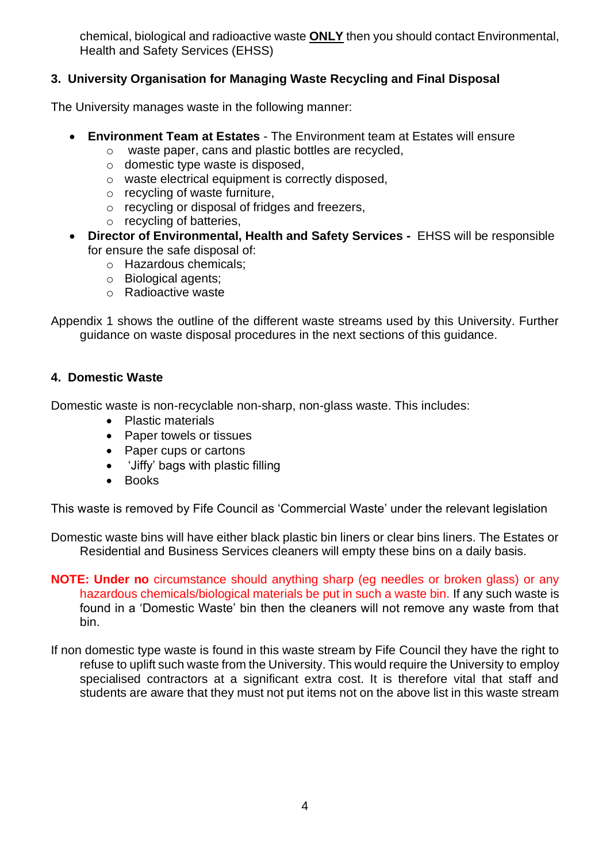chemical, biological and radioactive waste **ONLY** then you should contact Environmental, Health and Safety Services (EHSS)

# **3. University Organisation for Managing Waste Recycling and Final Disposal**

The University manages waste in the following manner:

- **Environment Team at Estates**  The Environment team at Estates will ensure
	- o waste paper, cans and plastic bottles are recycled,
	- o domestic type waste is disposed,
	- o waste electrical equipment is correctly disposed,
	- o recycling of waste furniture,
	- o recycling or disposal of fridges and freezers,
	- o recycling of batteries,
- **Director of Environmental, Health and Safety Services -** EHSS will be responsible for ensure the safe disposal of:
	- o Hazardous chemicals;
	- o Biological agents;
	- o Radioactive waste

Appendix 1 shows the outline of the different waste streams used by this University. Further guidance on waste disposal procedures in the next sections of this guidance.

# **4. Domestic Waste**

Domestic waste is non-recyclable non-sharp, non-glass waste. This includes:

- Plastic materials
- Paper towels or tissues
- Paper cups or cartons
- 'Jiffy' bags with plastic filling
- Books

This waste is removed by Fife Council as 'Commercial Waste' under the relevant legislation

Domestic waste bins will have either black plastic bin liners or clear bins liners. The Estates or Residential and Business Services cleaners will empty these bins on a daily basis.

**NOTE: Under no** circumstance should anything sharp (eg needles or broken glass) or any hazardous chemicals/biological materials be put in such a waste bin. If any such waste is found in a 'Domestic Waste' bin then the cleaners will not remove any waste from that bin.

If non domestic type waste is found in this waste stream by Fife Council they have the right to refuse to uplift such waste from the University. This would require the University to employ specialised contractors at a significant extra cost. It is therefore vital that staff and students are aware that they must not put items not on the above list in this waste stream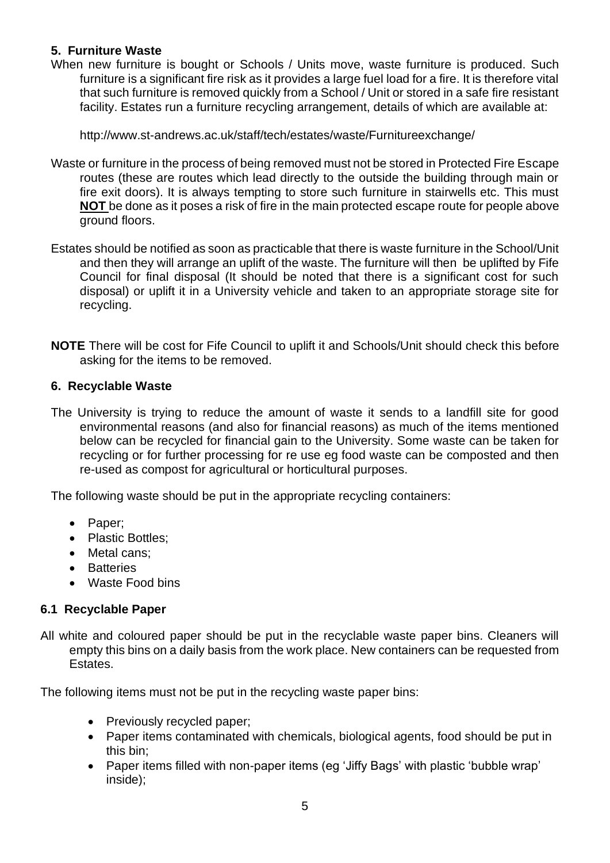# **5. Furniture Waste**

When new furniture is bought or Schools / Units move, waste furniture is produced. Such furniture is a significant fire risk as it provides a large fuel load for a fire. It is therefore vital that such furniture is removed quickly from a School / Unit or stored in a safe fire resistant facility. Estates run a furniture recycling arrangement, details of which are available at:

http://www.st-andrews.ac.uk/staff/tech/estates/waste/Furnitureexchange/

- Waste or furniture in the process of being removed must not be stored in Protected Fire Escape routes (these are routes which lead directly to the outside the building through main or fire exit doors). It is always tempting to store such furniture in stairwells etc. This must **NOT** be done as it poses a risk of fire in the main protected escape route for people above ground floors.
- Estates should be notified as soon as practicable that there is waste furniture in the School/Unit and then they will arrange an uplift of the waste. The furniture will then be uplifted by Fife Council for final disposal (It should be noted that there is a significant cost for such disposal) or uplift it in a University vehicle and taken to an appropriate storage site for recycling.
- **NOTE** There will be cost for Fife Council to uplift it and Schools/Unit should check this before asking for the items to be removed.

# **6. Recyclable Waste**

The University is trying to reduce the amount of waste it sends to a landfill site for good environmental reasons (and also for financial reasons) as much of the items mentioned below can be recycled for financial gain to the University. Some waste can be taken for recycling or for further processing for re use eg food waste can be composted and then re-used as compost for agricultural or horticultural purposes.

The following waste should be put in the appropriate recycling containers:

- Paper;
- Plastic Bottles;
- Metal cans;
- Batteries
- Waste Food bins

# **6.1 Recyclable Paper**

All white and coloured paper should be put in the recyclable waste paper bins. Cleaners will empty this bins on a daily basis from the work place. New containers can be requested from Estates.

The following items must not be put in the recycling waste paper bins:

- Previously recycled paper;
- Paper items contaminated with chemicals, biological agents, food should be put in this bin;
- Paper items filled with non-paper items (eg 'Jiffy Bags' with plastic 'bubble wrap' inside);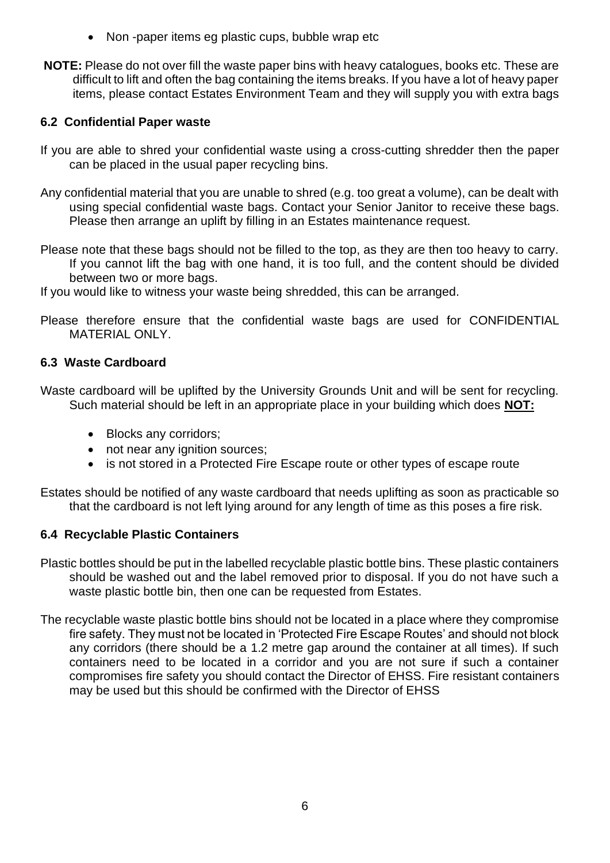- Non-paper items eg plastic cups, bubble wrap etc
- **NOTE:** Please do not over fill the waste paper bins with heavy catalogues, books etc. These are difficult to lift and often the bag containing the items breaks. If you have a lot of heavy paper items, please contact Estates Environment Team and they will supply you with extra bags

# **6.2 Confidential Paper waste**

- If you are able to shred your confidential waste using a cross-cutting shredder then the paper can be placed in the usual paper recycling bins.
- Any confidential material that you are unable to shred (e.g. too great a volume), can be dealt with using special confidential waste bags. Contact your Senior Janitor to receive these bags. Please then arrange an uplift by filling in an Estates maintenance request.
- Please note that these bags should not be filled to the top, as they are then too heavy to carry. If you cannot lift the bag with one hand, it is too full, and the content should be divided between two or more bags.
- If you would like to witness your waste being shredded, this can be arranged.
- Please therefore ensure that the confidential waste bags are used for CONFIDENTIAL MATERIAL ONLY.

# **6.3 Waste Cardboard**

Waste cardboard will be uplifted by the University Grounds Unit and will be sent for recycling. Such material should be left in an appropriate place in your building which does **NOT:**

- Blocks any corridors:
- not near any ignition sources;
- is not stored in a Protected Fire Escape route or other types of escape route

Estates should be notified of any waste cardboard that needs uplifting as soon as practicable so that the cardboard is not left lying around for any length of time as this poses a fire risk.

# **6.4 Recyclable Plastic Containers**

Plastic bottles should be put in the labelled recyclable plastic bottle bins. These plastic containers should be washed out and the label removed prior to disposal. If you do not have such a waste plastic bottle bin, then one can be requested from Estates.

The recyclable waste plastic bottle bins should not be located in a place where they compromise fire safety. They must not be located in 'Protected Fire Escape Routes' and should not block any corridors (there should be a 1.2 metre gap around the container at all times). If such containers need to be located in a corridor and you are not sure if such a container compromises fire safety you should contact the Director of EHSS. Fire resistant containers may be used but this should be confirmed with the Director of EHSS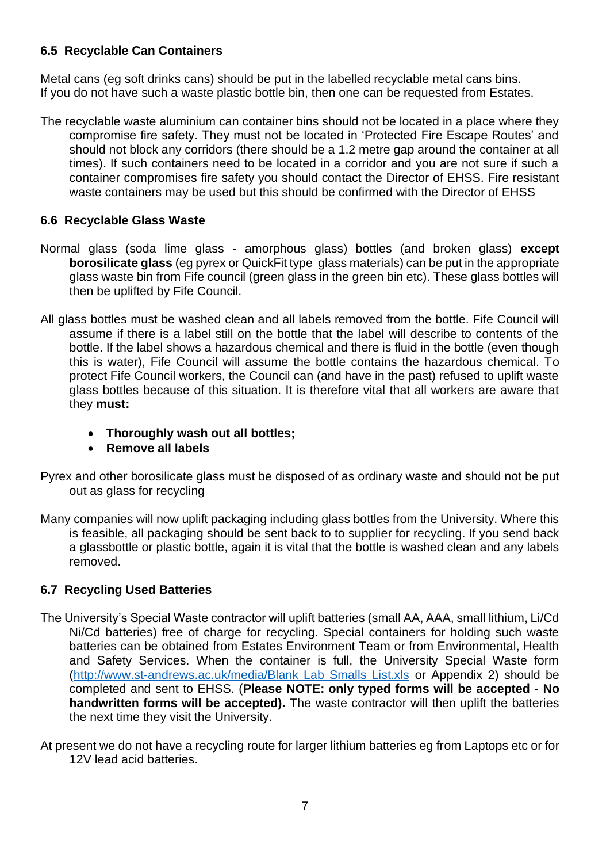# **6.5 Recyclable Can Containers**

Metal cans (eg soft drinks cans) should be put in the labelled recyclable metal cans bins. If you do not have such a waste plastic bottle bin, then one can be requested from Estates.

The recyclable waste aluminium can container bins should not be located in a place where they compromise fire safety. They must not be located in 'Protected Fire Escape Routes' and should not block any corridors (there should be a 1.2 metre gap around the container at all times). If such containers need to be located in a corridor and you are not sure if such a container compromises fire safety you should contact the Director of EHSS. Fire resistant waste containers may be used but this should be confirmed with the Director of EHSS

# **6.6 Recyclable Glass Waste**

- Normal glass (soda lime glass amorphous glass) bottles (and broken glass) **except borosilicate glass** (eg pyrex or QuickFit type glass materials) can be put in the appropriate glass waste bin from Fife council (green glass in the green bin etc). These glass bottles will then be uplifted by Fife Council.
- All glass bottles must be washed clean and all labels removed from the bottle. Fife Council will assume if there is a label still on the bottle that the label will describe to contents of the bottle. If the label shows a hazardous chemical and there is fluid in the bottle (even though this is water), Fife Council will assume the bottle contains the hazardous chemical. To protect Fife Council workers, the Council can (and have in the past) refused to uplift waste glass bottles because of this situation. It is therefore vital that all workers are aware that they **must:**
	- **Thoroughly wash out all bottles;**
	- **Remove all labels**
- Pyrex and other borosilicate glass must be disposed of as ordinary waste and should not be put out as glass for recycling
- Many companies will now uplift packaging including glass bottles from the University. Where this is feasible, all packaging should be sent back to to supplier for recycling. If you send back a glassbottle or plastic bottle, again it is vital that the bottle is washed clean and any labels removed.

# **6.7 Recycling Used Batteries**

- The University's Special Waste contractor will uplift batteries (small AA, AAA, small lithium, Li/Cd Ni/Cd batteries) free of charge for recycling. Special containers for holding such waste batteries can be obtained from Estates Environment Team or from Environmental, Health and Safety Services. When the container is full, the University Special Waste form [\(http://www.st-andrews.ac.uk/media/Blank Lab Smalls List.xls](http://www.st-andrews.ac.uk/media/Blank%20Lab%20Smalls%20List.xls) or Appendix 2) should be completed and sent to EHSS. (**Please NOTE: only typed forms will be accepted - No handwritten forms will be accepted).** The waste contractor will then uplift the batteries the next time they visit the University.
- At present we do not have a recycling route for larger lithium batteries eg from Laptops etc or for 12V lead acid batteries.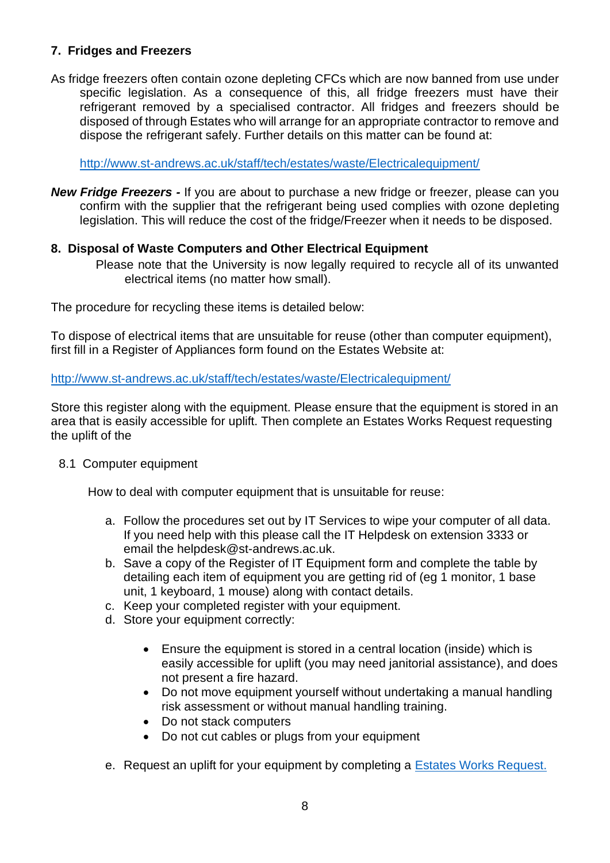# **7. Fridges and Freezers**

As fridge freezers often contain ozone depleting CFCs which are now banned from use under specific legislation. As a consequence of this, all fridge freezers must have their refrigerant removed by a specialised contractor. All fridges and freezers should be disposed of through Estates who will arrange for an appropriate contractor to remove and dispose the refrigerant safely. Further details on this matter can be found at:

<http://www.st-andrews.ac.uk/staff/tech/estates/waste/Electricalequipment/>

*New Fridge Freezers -* If you are about to purchase a new fridge or freezer, please can you confirm with the supplier that the refrigerant being used complies with ozone depleting legislation. This will reduce the cost of the fridge/Freezer when it needs to be disposed.

# **8. Disposal of Waste Computers and Other Electrical Equipment**

Please note that the University is now legally required to recycle all of its unwanted electrical items (no matter how small).

The procedure for recycling these items is detailed below:

To dispose of electrical items that are unsuitable for reuse (other than computer equipment), first fill in a Register of Appliances form found on the Estates Website at:

<http://www.st-andrews.ac.uk/staff/tech/estates/waste/Electricalequipment/>

Store this register along with the equipment. Please ensure that the equipment is stored in an area that is easily accessible for uplift. Then complete an Estates Works Request requesting the uplift of the

#### 8.1 Computer equipment

How to deal with computer equipment that is unsuitable for reuse:

- a. Follow the procedures set out by IT Services to wipe your computer of all data. If you need help with this please call the IT Helpdesk on extension 3333 or email the helpdesk@st-andrews.ac.uk.
- b. Save a copy of the Register of IT Equipment form and complete the table by detailing each item of equipment you are getting rid of (eg 1 monitor, 1 base unit, 1 keyboard, 1 mouse) along with contact details.
- c. Keep your completed register with your equipment.
- d. Store your equipment correctly:
	- Ensure the equipment is stored in a central location (inside) which is easily accessible for uplift (you may need janitorial assistance), and does not present a fire hazard.
	- Do not move equipment yourself without undertaking a manual handling risk assessment or without manual handling training.
	- Do not stack computers
	- Do not cut cables or plugs from your equipment
- e. Request an uplift for your equipment by completing a [Estates Works Request.](http://www.st-andrews.ac.uk/staff/tech/estates/maintenance/form/)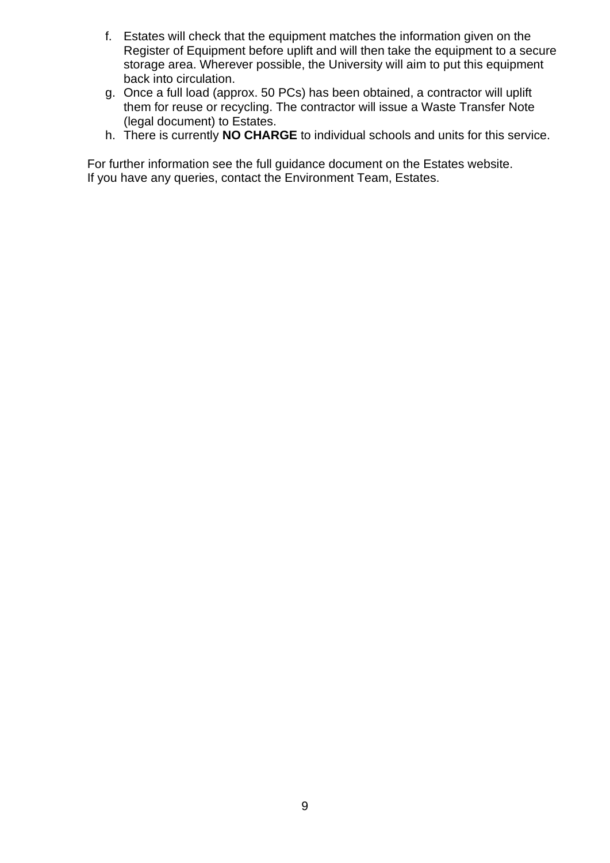- f. Estates will check that the equipment matches the information given on the Register of Equipment before uplift and will then take the equipment to a secure storage area. Wherever possible, the University will aim to put this equipment back into circulation.
- g. Once a full load (approx. 50 PCs) has been obtained, a contractor will uplift them for reuse or recycling. The contractor will issue a Waste Transfer Note (legal document) to Estates.
- h. There is currently **NO CHARGE** to individual schools and units for this service.

For further information see the full guidance document on the Estates website. If you have any queries, contact the Environment Team, Estates.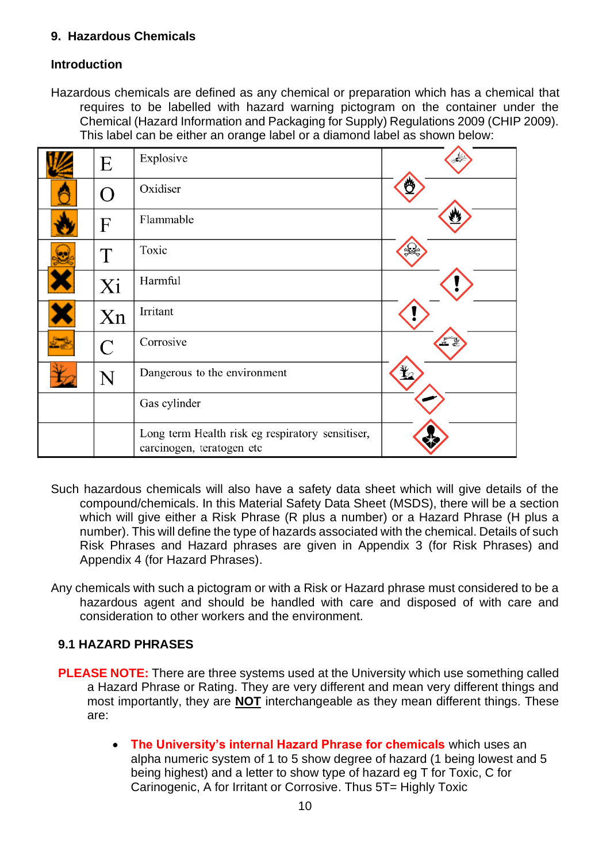# **9. Hazardous Chemicals**

# **Introduction**

Hazardous chemicals are defined as any chemical or preparation which has a chemical that requires to be labelled with hazard warning pictogram on the container under the Chemical (Hazard Information and Packaging for Supply) Regulations 2009 (CHIP 2009). This label can be either an orange label or a diamond label as shown below:

| E                  | Explosive                                                                     |  |
|--------------------|-------------------------------------------------------------------------------|--|
| $\bigcap$          | Oxidiser                                                                      |  |
| F                  | Flammable                                                                     |  |
| T                  | Toxic                                                                         |  |
| Xi                 | Harmful                                                                       |  |
| Xn                 | Irritant                                                                      |  |
| $\overline{C}$     | Corrosive                                                                     |  |
| $\overline{\rm N}$ | Dangerous to the environment                                                  |  |
|                    | Gas cylinder                                                                  |  |
|                    | Long term Health risk eg respiratory sensitiser,<br>carcinogen, teratogen etc |  |

- Such hazardous chemicals will also have a safety data sheet which will give details of the compound/chemicals. In this Material Safety Data Sheet (MSDS), there will be a section which will give either a Risk Phrase (R plus a number) or a Hazard Phrase (H plus a number). This will define the type of hazards associated with the chemical. Details of such Risk Phrases and Hazard phrases are given in Appendix 3 (for Risk Phrases) and Appendix 4 (for Hazard Phrases).
- Any chemicals with such a pictogram or with a Risk or Hazard phrase must considered to be a hazardous agent and should be handled with care and disposed of with care and consideration to other workers and the environment.

# **9.1 HAZARD PHRASES**

- **PLEASE NOTE:** There are three systems used at the University which use something called a Hazard Phrase or Rating. They are very different and mean very different things and most importantly, they are **NOT** interchangeable as they mean different things. These are:
	- **The University's internal Hazard Phrase for chemicals** which uses an alpha numeric system of 1 to 5 show degree of hazard (1 being lowest and 5 being highest) and a letter to show type of hazard eg T for Toxic, C for Carinogenic, A for Irritant or Corrosive. Thus 5T= Highly Toxic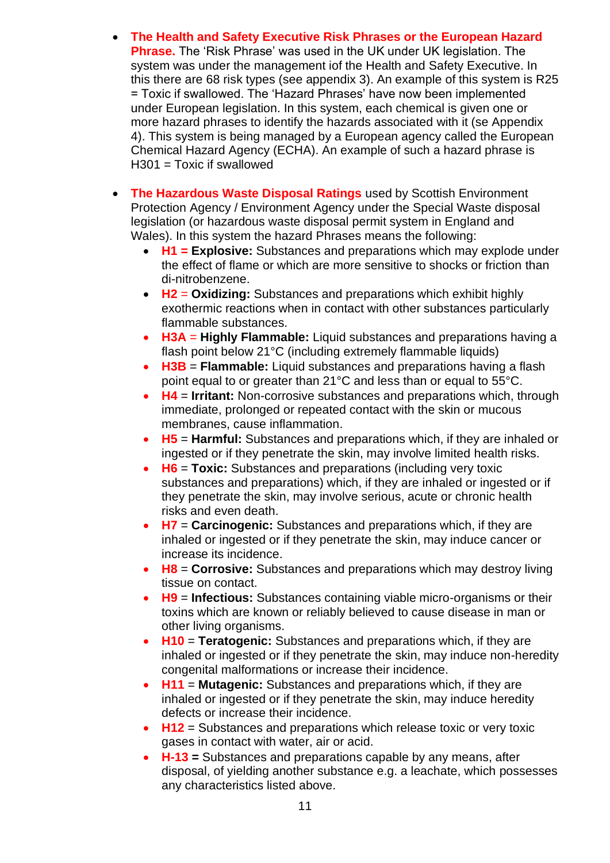- **The Health and Safety Executive Risk Phrases or the European Hazard Phrase.** The 'Risk Phrase' was used in the UK under UK legislation. The system was under the management iof the Health and Safety Executive. In this there are 68 risk types (see appendix 3). An example of this system is R25 = Toxic if swallowed. The 'Hazard Phrases' have now been implemented under European legislation. In this system, each chemical is given one or more hazard phrases to identify the hazards associated with it (se Appendix 4). This system is being managed by a European agency called the European Chemical Hazard Agency (ECHA). An example of such a hazard phrase is  $H301 = Toxic$  if swallowed
- **The Hazardous Waste Disposal Ratings** used by Scottish Environment Protection Agency / Environment Agency under the Special Waste disposal legislation (or hazardous waste disposal permit system in England and Wales). In this system the hazard Phrases means the following:
	- **H1 = Explosive:** Substances and preparations which may explode under the effect of flame or which are more sensitive to shocks or friction than di-nitrobenzene.
	- **H2** = **Oxidizing:** Substances and preparations which exhibit highly exothermic reactions when in contact with other substances particularly flammable substances.
	- **H3A** = **Highly Flammable:** Liquid substances and preparations having a flash point below 21°C (including extremely flammable liquids)
	- **H3B** = **Flammable:** Liquid substances and preparations having a flash point equal to or greater than 21°C and less than or equal to 55°C.
	- **H4** = **Irritant:** Non-corrosive substances and preparations which, through immediate, prolonged or repeated contact with the skin or mucous membranes, cause inflammation.
	- **H5** = **Harmful:** Substances and preparations which, if they are inhaled or ingested or if they penetrate the skin, may involve limited health risks.
	- **H6** = **Toxic:** Substances and preparations (including very toxic substances and preparations) which, if they are inhaled or ingested or if they penetrate the skin, may involve serious, acute or chronic health risks and even death.
	- **H7** = **Carcinogenic:** Substances and preparations which, if they are inhaled or ingested or if they penetrate the skin, may induce cancer or increase its incidence.
	- **H8** = **Corrosive:** Substances and preparations which may destroy living tissue on contact.
	- **H9** = **Infectious:** Substances containing viable micro-organisms or their toxins which are known or reliably believed to cause disease in man or other living organisms.
	- **H10** = **Teratogenic:** Substances and preparations which, if they are inhaled or ingested or if they penetrate the skin, may induce non-heredity congenital malformations or increase their incidence.
	- **H11** = **Mutagenic:** Substances and preparations which, if they are inhaled or ingested or if they penetrate the skin, may induce heredity defects or increase their incidence.
	- **H12** = Substances and preparations which release toxic or very toxic gases in contact with water, air or acid.
	- **H-13 =** Substances and preparations capable by any means, after disposal, of yielding another substance e.g. a leachate, which possesses any characteristics listed above.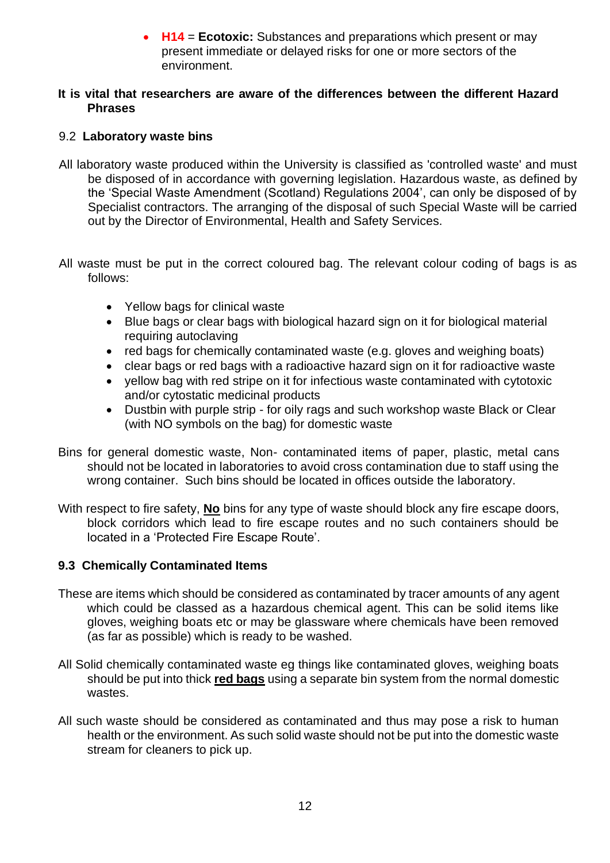• **H14** = **Ecotoxic:** Substances and preparations which present or may present immediate or delayed risks for one or more sectors of the environment.

#### **It is vital that researchers are aware of the differences between the different Hazard Phrases**

### 9.2 **Laboratory waste bins**

- All laboratory waste produced within the University is classified as 'controlled waste' and must be disposed of in accordance with governing legislation. Hazardous waste, as defined by the 'Special Waste Amendment (Scotland) Regulations 2004', can only be disposed of by Specialist contractors. The arranging of the disposal of such Special Waste will be carried out by the Director of Environmental, Health and Safety Services.
- All waste must be put in the correct coloured bag. The relevant colour coding of bags is as follows:
	- Yellow bags for clinical waste
	- Blue bags or clear bags with biological hazard sign on it for biological material requiring autoclaving
	- red bags for chemically contaminated waste (e.g. gloves and weighing boats)
	- clear bags or red bags with a radioactive hazard sign on it for radioactive waste
	- yellow bag with red stripe on it for infectious waste contaminated with cytotoxic and/or cytostatic medicinal products
	- Dustbin with purple strip for oily rags and such workshop waste Black or Clear (with NO symbols on the bag) for domestic waste
- Bins for general domestic waste, Non- contaminated items of paper, plastic, metal cans should not be located in laboratories to avoid cross contamination due to staff using the wrong container. Such bins should be located in offices outside the laboratory.
- With respect to fire safety, **No** bins for any type of waste should block any fire escape doors, block corridors which lead to fire escape routes and no such containers should be located in a 'Protected Fire Escape Route'.

# **9.3 Chemically Contaminated Items**

- These are items which should be considered as contaminated by tracer amounts of any agent which could be classed as a hazardous chemical agent. This can be solid items like gloves, weighing boats etc or may be glassware where chemicals have been removed (as far as possible) which is ready to be washed.
- All Solid chemically contaminated waste eg things like contaminated gloves, weighing boats should be put into thick **red bags** using a separate bin system from the normal domestic wastes.
- All such waste should be considered as contaminated and thus may pose a risk to human health or the environment. As such solid waste should not be put into the domestic waste stream for cleaners to pick up.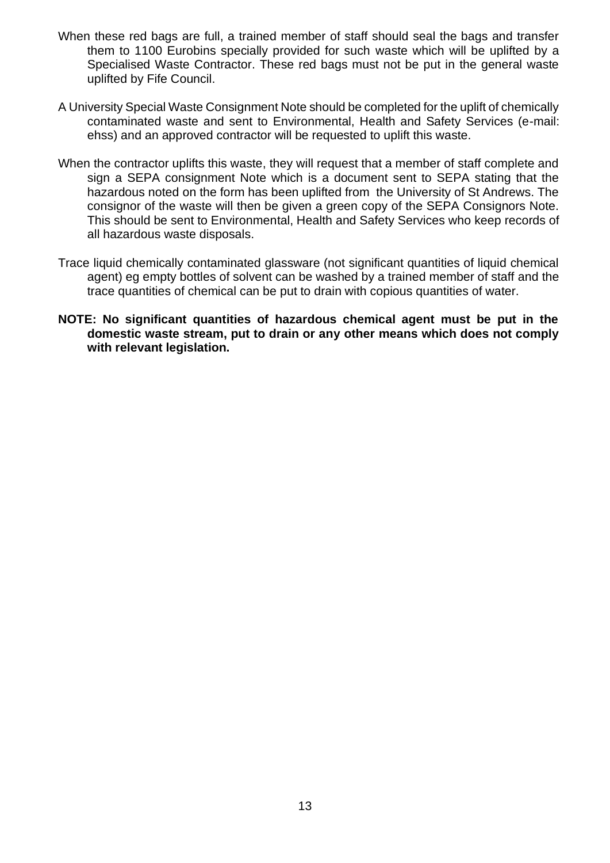- When these red bags are full, a trained member of staff should seal the bags and transfer them to 1100 Eurobins specially provided for such waste which will be uplifted by a Specialised Waste Contractor. These red bags must not be put in the general waste uplifted by Fife Council.
- A University Special Waste Consignment Note should be completed for the uplift of chemically contaminated waste and sent to Environmental, Health and Safety Services (e-mail: ehss) and an approved contractor will be requested to uplift this waste.
- When the contractor uplifts this waste, they will request that a member of staff complete and sign a SEPA consignment Note which is a document sent to SEPA stating that the hazardous noted on the form has been uplifted from the University of St Andrews. The consignor of the waste will then be given a green copy of the SEPA Consignors Note. This should be sent to Environmental, Health and Safety Services who keep records of all hazardous waste disposals.
- Trace liquid chemically contaminated glassware (not significant quantities of liquid chemical agent) eg empty bottles of solvent can be washed by a trained member of staff and the trace quantities of chemical can be put to drain with copious quantities of water.
- **NOTE: No significant quantities of hazardous chemical agent must be put in the domestic waste stream, put to drain or any other means which does not comply with relevant legislation.**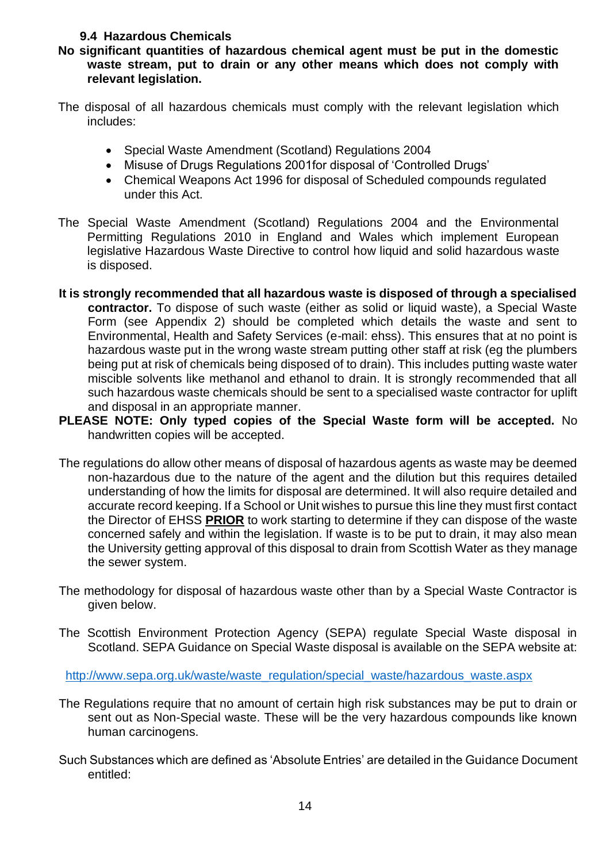# **9.4 Hazardous Chemicals**

- **No significant quantities of hazardous chemical agent must be put in the domestic waste stream, put to drain or any other means which does not comply with relevant legislation.**
- The disposal of all hazardous chemicals must comply with the relevant legislation which includes:
	- Special Waste Amendment (Scotland) Regulations 2004
	- Misuse of Drugs Regulations 2001for disposal of 'Controlled Drugs'
	- Chemical Weapons Act 1996 for disposal of Scheduled compounds regulated under this Act.
- The Special Waste Amendment (Scotland) Regulations 2004 and the Environmental Permitting Regulations 2010 in England and Wales which implement European legislative Hazardous Waste Directive to control how liquid and solid hazardous waste is disposed.
- **It is strongly recommended that all hazardous waste is disposed of through a specialised contractor.** To dispose of such waste (either as solid or liquid waste), a Special Waste Form (see Appendix 2) should be completed which details the waste and sent to Environmental, Health and Safety Services (e-mail: ehss). This ensures that at no point is hazardous waste put in the wrong waste stream putting other staff at risk (eg the plumbers being put at risk of chemicals being disposed of to drain). This includes putting waste water miscible solvents like methanol and ethanol to drain. It is strongly recommended that all such hazardous waste chemicals should be sent to a specialised waste contractor for uplift and disposal in an appropriate manner.
- **PLEASE NOTE: Only typed copies of the Special Waste form will be accepted.** No handwritten copies will be accepted.
- The regulations do allow other means of disposal of hazardous agents as waste may be deemed non-hazardous due to the nature of the agent and the dilution but this requires detailed understanding of how the limits for disposal are determined. It will also require detailed and accurate record keeping. If a School or Unit wishes to pursue this line they must first contact the Director of EHSS **PRIOR** to work starting to determine if they can dispose of the waste concerned safely and within the legislation. If waste is to be put to drain, it may also mean the University getting approval of this disposal to drain from Scottish Water as they manage the sewer system.
- The methodology for disposal of hazardous waste other than by a Special Waste Contractor is given below.
- The Scottish Environment Protection Agency (SEPA) regulate Special Waste disposal in Scotland. SEPA Guidance on Special Waste disposal is available on the SEPA website at:

[http://www.sepa.org.uk/waste/waste\\_regulation/special\\_waste/hazardous\\_waste.aspx](http://www.sepa.org.uk/waste/waste_regulation/special_waste/hazardous_waste.aspx)

- The Regulations require that no amount of certain high risk substances may be put to drain or sent out as Non-Special waste. These will be the very hazardous compounds like known human carcinogens.
- Such Substances which are defined as 'Absolute Entries' are detailed in the Guidance Document entitled: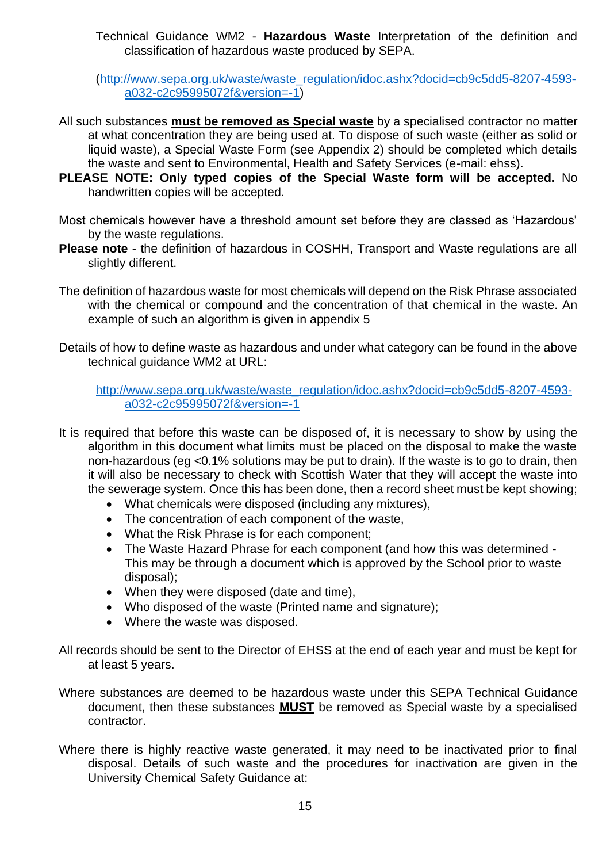Technical Guidance WM2 - **Hazardous Waste** Interpretation of the definition and classification of hazardous waste produced by SEPA.

[\(http://www.sepa.org.uk/waste/waste\\_regulation/idoc.ashx?docid=cb9c5dd5-8207-4593](http://www.sepa.org.uk/waste/waste_regulation/idoc.ashx?docid=cb9c5dd5-8207-4593-a032-c2c95995072f&version=-1) [a032-c2c95995072f&version=-1\)](http://www.sepa.org.uk/waste/waste_regulation/idoc.ashx?docid=cb9c5dd5-8207-4593-a032-c2c95995072f&version=-1)

- All such substances **must be removed as Special waste** by a specialised contractor no matter at what concentration they are being used at. To dispose of such waste (either as solid or liquid waste), a Special Waste Form (see Appendix 2) should be completed which details the waste and sent to Environmental, Health and Safety Services (e-mail: ehss).
- **PLEASE NOTE: Only typed copies of the Special Waste form will be accepted.** No handwritten copies will be accepted.
- Most chemicals however have a threshold amount set before they are classed as 'Hazardous' by the waste regulations.
- **Please note** the definition of hazardous in COSHH, Transport and Waste regulations are all slightly different.
- The definition of hazardous waste for most chemicals will depend on the Risk Phrase associated with the chemical or compound and the concentration of that chemical in the waste. An example of such an algorithm is given in appendix 5
- Details of how to define waste as hazardous and under what category can be found in the above technical guidance WM2 at URL:

[http://www.sepa.org.uk/waste/waste\\_regulation/idoc.ashx?docid=cb9c5dd5-8207-4593](http://www.sepa.org.uk/waste/waste_regulation/idoc.ashx?docid=cb9c5dd5-8207-4593-a032-c2c95995072f&version=-1) [a032-c2c95995072f&version=-1](http://www.sepa.org.uk/waste/waste_regulation/idoc.ashx?docid=cb9c5dd5-8207-4593-a032-c2c95995072f&version=-1)

- It is required that before this waste can be disposed of, it is necessary to show by using the algorithm in this document what limits must be placed on the disposal to make the waste non-hazardous (eg <0.1% solutions may be put to drain). If the waste is to go to drain, then it will also be necessary to check with Scottish Water that they will accept the waste into the sewerage system. Once this has been done, then a record sheet must be kept showing;
	- What chemicals were disposed (including any mixtures),
	- The concentration of each component of the waste,
	- What the Risk Phrase is for each component;
	- The Waste Hazard Phrase for each component (and how this was determined This may be through a document which is approved by the School prior to waste disposal);
	- When they were disposed (date and time),
	- Who disposed of the waste (Printed name and signature):
	- Where the waste was disposed.
- All records should be sent to the Director of EHSS at the end of each year and must be kept for at least 5 years.
- Where substances are deemed to be hazardous waste under this SEPA Technical Guidance document, then these substances **MUST** be removed as Special waste by a specialised contractor.
- Where there is highly reactive waste generated, it may need to be inactivated prior to final disposal. Details of such waste and the procedures for inactivation are given in the University Chemical Safety Guidance at: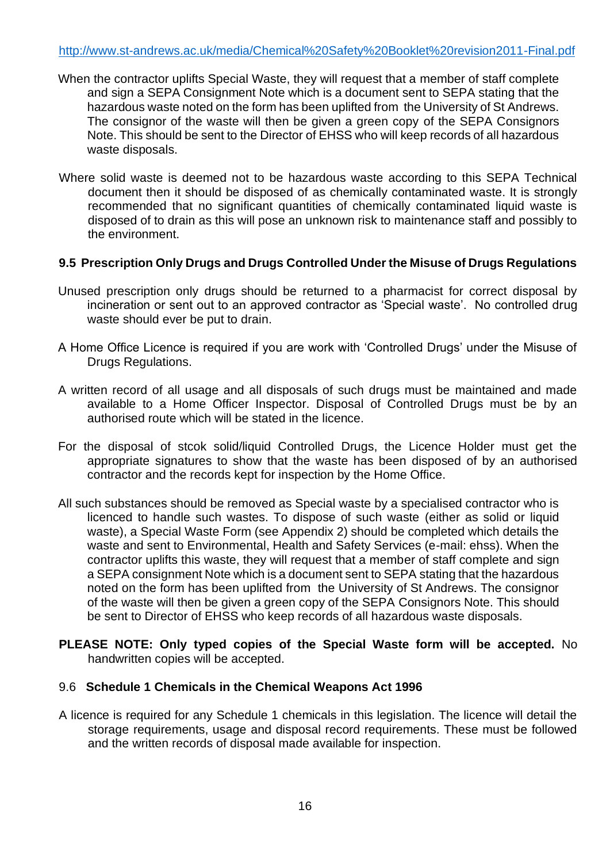- When the contractor uplifts Special Waste, they will request that a member of staff complete and sign a SEPA Consignment Note which is a document sent to SEPA stating that the hazardous waste noted on the form has been uplifted from the University of St Andrews. The consignor of the waste will then be given a green copy of the SEPA Consignors Note. This should be sent to the Director of EHSS who will keep records of all hazardous waste disposals.
- Where solid waste is deemed not to be hazardous waste according to this SEPA Technical document then it should be disposed of as chemically contaminated waste. It is strongly recommended that no significant quantities of chemically contaminated liquid waste is disposed of to drain as this will pose an unknown risk to maintenance staff and possibly to the environment.

#### **9.5 Prescription Only Drugs and Drugs Controlled Under the Misuse of Drugs Regulations**

- Unused prescription only drugs should be returned to a pharmacist for correct disposal by incineration or sent out to an approved contractor as 'Special waste'. No controlled drug waste should ever be put to drain.
- A Home Office Licence is required if you are work with 'Controlled Drugs' under the Misuse of Drugs Regulations.
- A written record of all usage and all disposals of such drugs must be maintained and made available to a Home Officer Inspector. Disposal of Controlled Drugs must be by an authorised route which will be stated in the licence.
- For the disposal of stcok solid/liquid Controlled Drugs, the Licence Holder must get the appropriate signatures to show that the waste has been disposed of by an authorised contractor and the records kept for inspection by the Home Office.
- All such substances should be removed as Special waste by a specialised contractor who is licenced to handle such wastes. To dispose of such waste (either as solid or liquid waste), a Special Waste Form (see Appendix 2) should be completed which details the waste and sent to Environmental, Health and Safety Services (e-mail: ehss). When the contractor uplifts this waste, they will request that a member of staff complete and sign a SEPA consignment Note which is a document sent to SEPA stating that the hazardous noted on the form has been uplifted from the University of St Andrews. The consignor of the waste will then be given a green copy of the SEPA Consignors Note. This should be sent to Director of EHSS who keep records of all hazardous waste disposals.
- **PLEASE NOTE: Only typed copies of the Special Waste form will be accepted.** No handwritten copies will be accepted.

#### 9.6 **Schedule 1 Chemicals in the Chemical Weapons Act 1996**

A licence is required for any Schedule 1 chemicals in this legislation. The licence will detail the storage requirements, usage and disposal record requirements. These must be followed and the written records of disposal made available for inspection.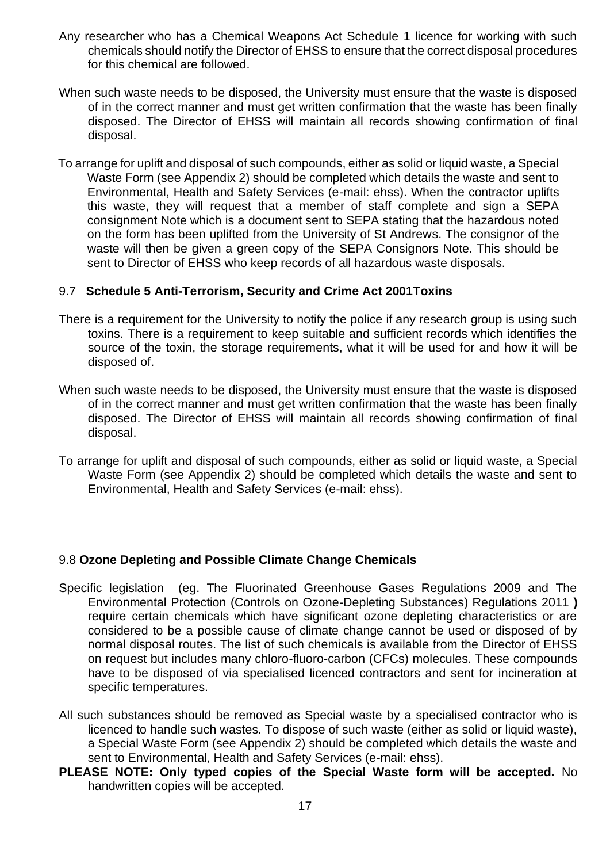- Any researcher who has a Chemical Weapons Act Schedule 1 licence for working with such chemicals should notify the Director of EHSS to ensure that the correct disposal procedures for this chemical are followed.
- When such waste needs to be disposed, the University must ensure that the waste is disposed of in the correct manner and must get written confirmation that the waste has been finally disposed. The Director of EHSS will maintain all records showing confirmation of final disposal.
- To arrange for uplift and disposal of such compounds, either as solid or liquid waste, a Special Waste Form (see Appendix 2) should be completed which details the waste and sent to Environmental, Health and Safety Services (e-mail: ehss). When the contractor uplifts this waste, they will request that a member of staff complete and sign a SEPA consignment Note which is a document sent to SEPA stating that the hazardous noted on the form has been uplifted from the University of St Andrews. The consignor of the waste will then be given a green copy of the SEPA Consignors Note. This should be sent to Director of EHSS who keep records of all hazardous waste disposals.

#### 9.7 **Schedule 5 Anti-Terrorism, Security and Crime Act 2001Toxins**

- There is a requirement for the University to notify the police if any research group is using such toxins. There is a requirement to keep suitable and sufficient records which identifies the source of the toxin, the storage requirements, what it will be used for and how it will be disposed of.
- When such waste needs to be disposed, the University must ensure that the waste is disposed of in the correct manner and must get written confirmation that the waste has been finally disposed. The Director of EHSS will maintain all records showing confirmation of final disposal.
- To arrange for uplift and disposal of such compounds, either as solid or liquid waste, a Special Waste Form (see Appendix 2) should be completed which details the waste and sent to Environmental, Health and Safety Services (e-mail: ehss).

#### 9.8 **Ozone Depleting and Possible Climate Change Chemicals**

- Specific legislation (eg. The Fluorinated Greenhouse Gases Regulations 2009 and The Environmental Protection (Controls on Ozone-Depleting Substances) Regulations 2011 **)**  require certain chemicals which have significant ozone depleting characteristics or are considered to be a possible cause of climate change cannot be used or disposed of by normal disposal routes. The list of such chemicals is available from the Director of EHSS on request but includes many chloro-fluoro-carbon (CFCs) molecules. These compounds have to be disposed of via specialised licenced contractors and sent for incineration at specific temperatures.
- All such substances should be removed as Special waste by a specialised contractor who is licenced to handle such wastes. To dispose of such waste (either as solid or liquid waste), a Special Waste Form (see Appendix 2) should be completed which details the waste and sent to Environmental, Health and Safety Services (e-mail: ehss).
- **PLEASE NOTE: Only typed copies of the Special Waste form will be accepted.** No handwritten copies will be accepted.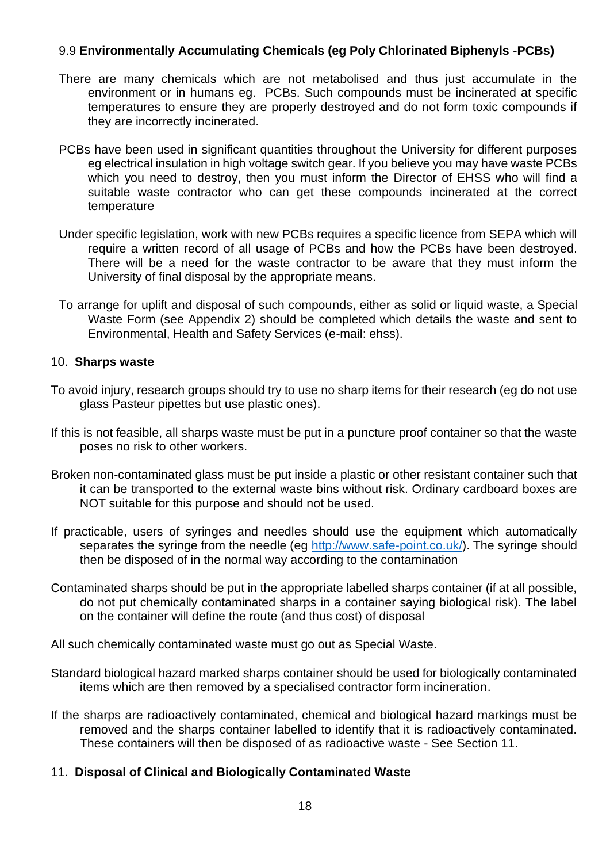# 9.9 **Environmentally Accumulating Chemicals (eg Poly Chlorinated Biphenyls -PCBs)**

- There are many chemicals which are not metabolised and thus just accumulate in the environment or in humans eg. PCBs. Such compounds must be incinerated at specific temperatures to ensure they are properly destroyed and do not form toxic compounds if they are incorrectly incinerated.
- PCBs have been used in significant quantities throughout the University for different purposes eg electrical insulation in high voltage switch gear. If you believe you may have waste PCBs which you need to destroy, then you must inform the Director of EHSS who will find a suitable waste contractor who can get these compounds incinerated at the correct temperature
- Under specific legislation, work with new PCBs requires a specific licence from SEPA which will require a written record of all usage of PCBs and how the PCBs have been destroyed. There will be a need for the waste contractor to be aware that they must inform the University of final disposal by the appropriate means.
- To arrange for uplift and disposal of such compounds, either as solid or liquid waste, a Special Waste Form (see Appendix 2) should be completed which details the waste and sent to Environmental, Health and Safety Services (e-mail: ehss).

#### 10. **Sharps waste**

- To avoid injury, research groups should try to use no sharp items for their research (eg do not use glass Pasteur pipettes but use plastic ones).
- If this is not feasible, all sharps waste must be put in a puncture proof container so that the waste poses no risk to other workers.
- Broken non-contaminated glass must be put inside a plastic or other resistant container such that it can be transported to the external waste bins without risk. Ordinary cardboard boxes are NOT suitable for this purpose and should not be used.
- If practicable, users of syringes and needles should use the equipment which automatically separates the syringe from the needle (eg [http://www.safe-point.co.uk/\)](http://www.safe-point.co.uk/). The syringe should then be disposed of in the normal way according to the contamination
- Contaminated sharps should be put in the appropriate labelled sharps container (if at all possible, do not put chemically contaminated sharps in a container saying biological risk). The label on the container will define the route (and thus cost) of disposal

All such chemically contaminated waste must go out as Special Waste.

- Standard biological hazard marked sharps container should be used for biologically contaminated items which are then removed by a specialised contractor form incineration.
- If the sharps are radioactively contaminated, chemical and biological hazard markings must be removed and the sharps container labelled to identify that it is radioactively contaminated. These containers will then be disposed of as radioactive waste - See Section 11.

#### 11. **Disposal of Clinical and Biologically Contaminated Waste**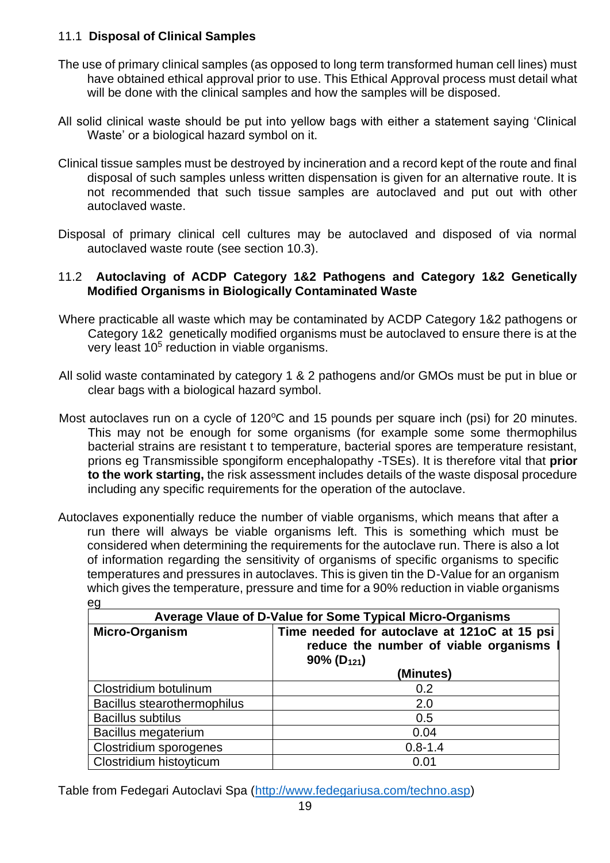# 11.1 **Disposal of Clinical Samples**

- The use of primary clinical samples (as opposed to long term transformed human cell lines) must have obtained ethical approval prior to use. This Ethical Approval process must detail what will be done with the clinical samples and how the samples will be disposed.
- All solid clinical waste should be put into yellow bags with either a statement saying 'Clinical Waste' or a biological hazard symbol on it.
- Clinical tissue samples must be destroyed by incineration and a record kept of the route and final disposal of such samples unless written dispensation is given for an alternative route. It is not recommended that such tissue samples are autoclaved and put out with other autoclaved waste.
- Disposal of primary clinical cell cultures may be autoclaved and disposed of via normal autoclaved waste route (see section 10.3).

# 11.2 **Autoclaving of ACDP Category 1&2 Pathogens and Category 1&2 Genetically Modified Organisms in Biologically Contaminated Waste**

- Where practicable all waste which may be contaminated by ACDP Category 1&2 pathogens or Category 1&2 genetically modified organisms must be autoclaved to ensure there is at the very least  $10<sup>5</sup>$  reduction in viable organisms.
- All solid waste contaminated by category 1 & 2 pathogens and/or GMOs must be put in blue or clear bags with a biological hazard symbol.
- Most autoclaves run on a cycle of  $120^{\circ}$ C and 15 pounds per square inch (psi) for 20 minutes. This may not be enough for some organisms (for example some some thermophilus bacterial strains are resistant t to temperature, bacterial spores are temperature resistant, prions eg Transmissible spongiform encephalopathy -TSEs). It is therefore vital that **prior to the work starting,** the risk assessment includes details of the waste disposal procedure including any specific requirements for the operation of the autoclave.
- Autoclaves exponentially reduce the number of viable organisms, which means that after a run there will always be viable organisms left. This is something which must be considered when determining the requirements for the autoclave run. There is also a lot of information regarding the sensitivity of organisms of specific organisms to specific temperatures and pressures in autoclaves. This is given tin the D-Value for an organism which gives the temperature, pressure and time for a 90% reduction in viable organisms eg

| Average Vlaue of D-Value for Some Typical Micro-Organisms                                                                             |             |  |  |
|---------------------------------------------------------------------------------------------------------------------------------------|-------------|--|--|
| Time needed for autoclave at 121oC at 15 psi<br>Micro-Organism<br>reduce the number of viable organisms<br>$90\%$ (D <sub>121</sub> ) |             |  |  |
|                                                                                                                                       | (Minutes)   |  |  |
| Clostridium botulinum                                                                                                                 | 0.2         |  |  |
| Bacillus stearothermophilus                                                                                                           | 2.0         |  |  |
| <b>Bacillus subtilus</b>                                                                                                              | 0.5         |  |  |
| Bacillus megaterium                                                                                                                   | 0.04        |  |  |
| Clostridium sporogenes                                                                                                                | $0.8 - 1.4$ |  |  |
| Clostridium histoyticum                                                                                                               | 0.01        |  |  |

Table from Fedegari Autoclavi Spa [\(http://www.fedegariusa.com/techno.asp\)](http://www.fedegariusa.com/techno.asp)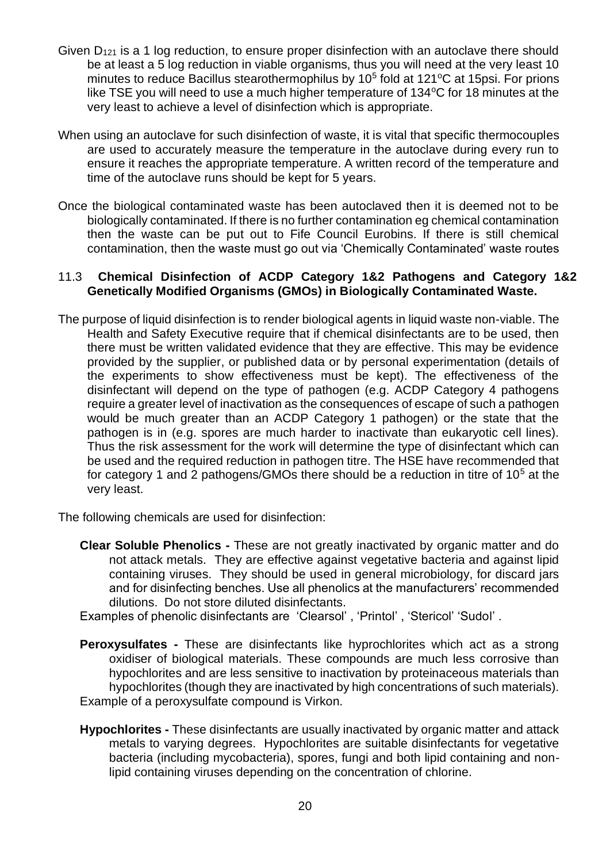- Given  $D_{121}$  is a 1 log reduction, to ensure proper disinfection with an autoclave there should be at least a 5 log reduction in viable organisms, thus you will need at the very least 10 minutes to reduce Bacillus stearothermophilus by  $10^5$  fold at  $121^{\circ}$ C at 15psi. For prions like TSE you will need to use a much higher temperature of  $134^{\circ}$ C for 18 minutes at the very least to achieve a level of disinfection which is appropriate.
- When using an autoclave for such disinfection of waste, it is vital that specific thermocouples are used to accurately measure the temperature in the autoclave during every run to ensure it reaches the appropriate temperature. A written record of the temperature and time of the autoclave runs should be kept for 5 years.
- Once the biological contaminated waste has been autoclaved then it is deemed not to be biologically contaminated. If there is no further contamination eg chemical contamination then the waste can be put out to Fife Council Eurobins. If there is still chemical contamination, then the waste must go out via 'Chemically Contaminated' waste routes

### 11.3 **Chemical Disinfection of ACDP Category 1&2 Pathogens and Category 1&2 Genetically Modified Organisms (GMOs) in Biologically Contaminated Waste.**

The purpose of liquid disinfection is to render biological agents in liquid waste non-viable. The Health and Safety Executive require that if chemical disinfectants are to be used, then there must be written validated evidence that they are effective. This may be evidence provided by the supplier, or published data or by personal experimentation (details of the experiments to show effectiveness must be kept). The effectiveness of the disinfectant will depend on the type of pathogen (e.g. ACDP Category 4 pathogens require a greater level of inactivation as the consequences of escape of such a pathogen would be much greater than an ACDP Category 1 pathogen) or the state that the pathogen is in (e.g. spores are much harder to inactivate than eukaryotic cell lines). Thus the risk assessment for the work will determine the type of disinfectant which can be used and the required reduction in pathogen titre. The HSE have recommended that for category 1 and 2 pathogens/GMOs there should be a reduction in titre of  $10<sup>5</sup>$  at the very least.

The following chemicals are used for disinfection:

- **Clear Soluble Phenolics -** These are not greatly inactivated by organic matter and do not attack metals. They are effective against vegetative bacteria and against lipid containing viruses. They should be used in general microbiology, for discard jars and for disinfecting benches. Use all phenolics at the manufacturers' recommended dilutions. Do not store diluted disinfectants.
- Examples of phenolic disinfectants are 'Clearsol' , 'Printol' , 'Stericol' 'Sudol' .
- **Peroxysulfates -** These are disinfectants like hyprochlorites which act as a strong oxidiser of biological materials. These compounds are much less corrosive than hypochlorites and are less sensitive to inactivation by proteinaceous materials than hypochlorites (though they are inactivated by high concentrations of such materials). Example of a peroxysulfate compound is Virkon.
- **Hypochlorites -** These disinfectants are usually inactivated by organic matter and attack metals to varying degrees. Hypochlorites are suitable disinfectants for vegetative bacteria (including mycobacteria), spores, fungi and both lipid containing and nonlipid containing viruses depending on the concentration of chlorine.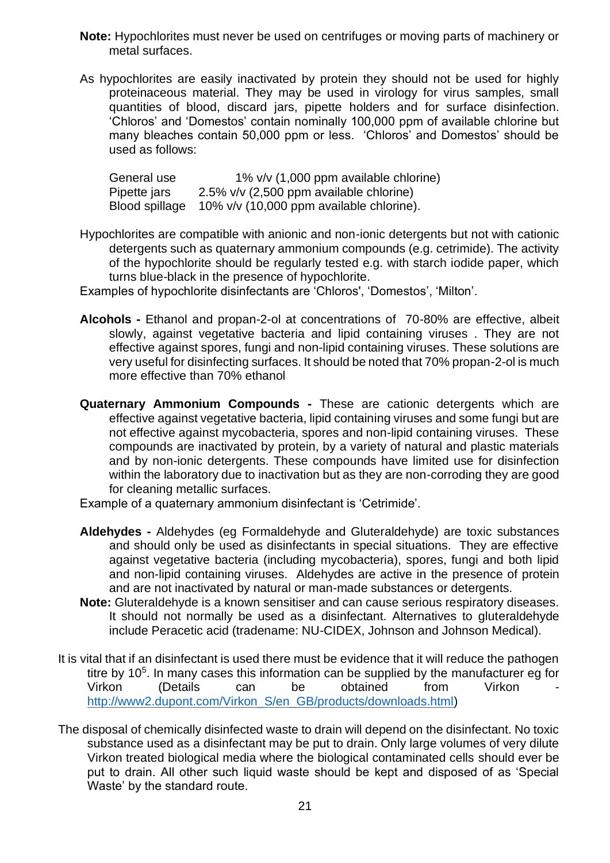- **Note:** Hypochlorites must never be used on centrifuges or moving parts of machinery or metal surfaces.
- As hypochlorites are easily inactivated by protein they should not be used for highly proteinaceous material. They may be used in virology for virus samples, small quantities of blood, discard jars, pipette holders and for surface disinfection. 'Chloros' and 'Domestos' contain nominally 100,000 ppm of available chlorine but many bleaches contain 50,000 ppm or less. 'Chloros' and Domestos' should be used as follows:

| General use    | 1% v/v (1,000 ppm available chlorine)      |
|----------------|--------------------------------------------|
| Pipette jars   | $2.5\%$ v/v (2,500 ppm available chlorine) |
| Blood spillage | 10% v/v (10,000 ppm available chlorine).   |

- Hypochlorites are compatible with anionic and non-ionic detergents but not with cationic detergents such as quaternary ammonium compounds (e.g. cetrimide). The activity of the hypochlorite should be regularly tested e.g. with starch iodide paper, which turns blue-black in the presence of hypochlorite.
- Examples of hypochlorite disinfectants are 'Chloros', 'Domestos', 'Milton'.
- **Alcohols -** Ethanol and propan-2-ol at concentrations of 70-80% are effective, albeit slowly, against vegetative bacteria and lipid containing viruses . They are not effective against spores, fungi and non-lipid containing viruses. These solutions are very useful for disinfecting surfaces. It should be noted that 70% propan-2-ol is much more effective than 70% ethanol
- **Quaternary Ammonium Compounds -** These are cationic detergents which are effective against vegetative bacteria, lipid containing viruses and some fungi but are not effective against mycobacteria, spores and non-lipid containing viruses. These compounds are inactivated by protein, by a variety of natural and plastic materials and by non-ionic detergents. These compounds have limited use for disinfection within the laboratory due to inactivation but as they are non-corroding they are good for cleaning metallic surfaces.
- Example of a quaternary ammonium disinfectant is 'Cetrimide'.
- **Aldehydes -** Aldehydes (eg Formaldehyde and Gluteraldehyde) are toxic substances and should only be used as disinfectants in special situations. They are effective against vegetative bacteria (including mycobacteria), spores, fungi and both lipid and non-lipid containing viruses. Aldehydes are active in the presence of protein and are not inactivated by natural or man-made substances or detergents.
- **Note:** Gluteraldehyde is a known sensitiser and can cause serious respiratory diseases. It should not normally be used as a disinfectant. Alternatives to gluteraldehyde include Peracetic acid (tradename: NU-CIDEX, Johnson and Johnson Medical).
- It is vital that if an disinfectant is used there must be evidence that it will reduce the pathogen titre by 10<sup>5</sup>. In many cases this information can be supplied by the manufacturer eg for Virkon (Details can be obtained from Virkon [http://www2.dupont.com/Virkon\\_S/en\\_GB/products/downloads.html\)](http://www2.dupont.com/Virkon_S/en_GB/products/downloads.html)
- The disposal of chemically disinfected waste to drain will depend on the disinfectant. No toxic substance used as a disinfectant may be put to drain. Only large volumes of very dilute Virkon treated biological media where the biological contaminated cells should ever be put to drain. All other such liquid waste should be kept and disposed of as 'Special Waste' by the standard route.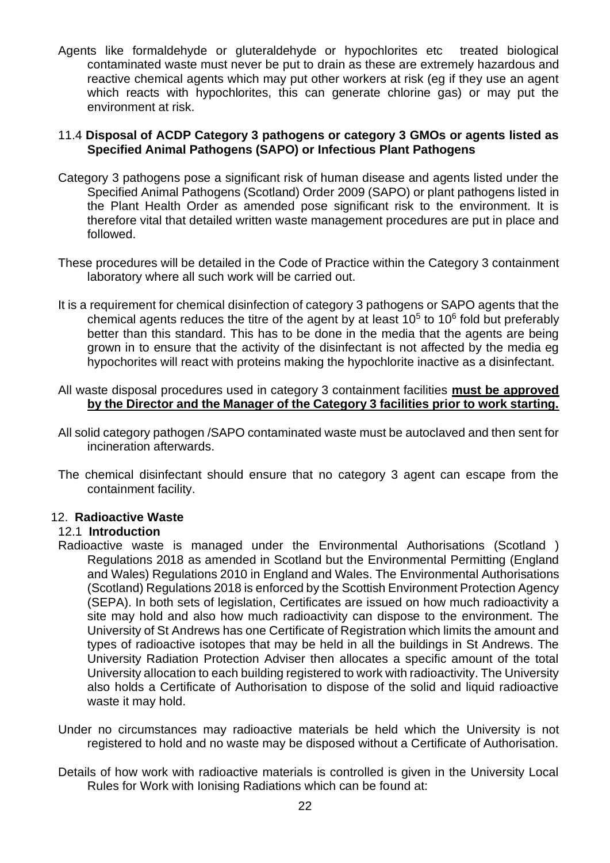Agents like formaldehyde or gluteraldehyde or hypochlorites etc treated biological contaminated waste must never be put to drain as these are extremely hazardous and reactive chemical agents which may put other workers at risk (eg if they use an agent which reacts with hypochlorites, this can generate chlorine gas) or may put the environment at risk.

#### 11.4 **Disposal of ACDP Category 3 pathogens or category 3 GMOs or agents listed as Specified Animal Pathogens (SAPO) or Infectious Plant Pathogens**

- Category 3 pathogens pose a significant risk of human disease and agents listed under the Specified Animal Pathogens (Scotland) Order 2009 (SAPO) or plant pathogens listed in the Plant Health Order as amended pose significant risk to the environment. It is therefore vital that detailed written waste management procedures are put in place and followed.
- These procedures will be detailed in the Code of Practice within the Category 3 containment laboratory where all such work will be carried out.
- It is a requirement for chemical disinfection of category 3 pathogens or SAPO agents that the chemical agents reduces the titre of the agent by at least  $10<sup>5</sup>$  to  $10<sup>6</sup>$  fold but preferably better than this standard. This has to be done in the media that the agents are being grown in to ensure that the activity of the disinfectant is not affected by the media eg hypochorites will react with proteins making the hypochlorite inactive as a disinfectant.
- All waste disposal procedures used in category 3 containment facilities **must be approved by the Director and the Manager of the Category 3 facilities prior to work starting.**
- All solid category pathogen /SAPO contaminated waste must be autoclaved and then sent for incineration afterwards.
- The chemical disinfectant should ensure that no category 3 agent can escape from the containment facility.

#### 12. **Radioactive Waste**

#### 12.1 **Introduction**

- Radioactive waste is managed under the Environmental Authorisations (Scotland ) Regulations 2018 as amended in Scotland but the Environmental Permitting (England and Wales) Regulations 2010 in England and Wales. The Environmental Authorisations (Scotland) Regulations 2018 is enforced by the Scottish Environment Protection Agency (SEPA). In both sets of legislation, Certificates are issued on how much radioactivity a site may hold and also how much radioactivity can dispose to the environment. The University of St Andrews has one Certificate of Registration which limits the amount and types of radioactive isotopes that may be held in all the buildings in St Andrews. The University Radiation Protection Adviser then allocates a specific amount of the total University allocation to each building registered to work with radioactivity. The University also holds a Certificate of Authorisation to dispose of the solid and liquid radioactive waste it may hold.
- Under no circumstances may radioactive materials be held which the University is not registered to hold and no waste may be disposed without a Certificate of Authorisation.
- Details of how work with radioactive materials is controlled is given in the University Local Rules for Work with Ionising Radiations which can be found at: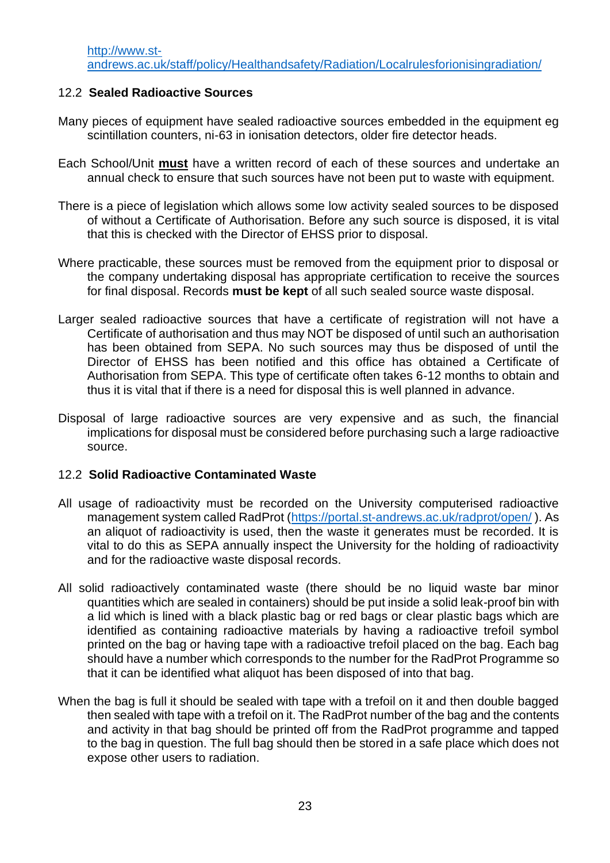## 12.2 **Sealed Radioactive Sources**

- Many pieces of equipment have sealed radioactive sources embedded in the equipment eg scintillation counters, ni-63 in ionisation detectors, older fire detector heads.
- Each School/Unit **must** have a written record of each of these sources and undertake an annual check to ensure that such sources have not been put to waste with equipment.
- There is a piece of legislation which allows some low activity sealed sources to be disposed of without a Certificate of Authorisation. Before any such source is disposed, it is vital that this is checked with the Director of EHSS prior to disposal.
- Where practicable, these sources must be removed from the equipment prior to disposal or the company undertaking disposal has appropriate certification to receive the sources for final disposal. Records **must be kept** of all such sealed source waste disposal.
- Larger sealed radioactive sources that have a certificate of registration will not have a Certificate of authorisation and thus may NOT be disposed of until such an authorisation has been obtained from SEPA. No such sources may thus be disposed of until the Director of EHSS has been notified and this office has obtained a Certificate of Authorisation from SEPA. This type of certificate often takes 6-12 months to obtain and thus it is vital that if there is a need for disposal this is well planned in advance.
- Disposal of large radioactive sources are very expensive and as such, the financial implications for disposal must be considered before purchasing such a large radioactive source.

#### 12.2 **Solid Radioactive Contaminated Waste**

- All usage of radioactivity must be recorded on the University computerised radioactive management system called RadProt [\(https://portal.st-andrews.ac.uk/radprot/open/](https://portal.st-andrews.ac.uk/radprot/open/) ). As an aliquot of radioactivity is used, then the waste it generates must be recorded. It is vital to do this as SEPA annually inspect the University for the holding of radioactivity and for the radioactive waste disposal records.
- All solid radioactively contaminated waste (there should be no liquid waste bar minor quantities which are sealed in containers) should be put inside a solid leak-proof bin with a lid which is lined with a black plastic bag or red bags or clear plastic bags which are identified as containing radioactive materials by having a radioactive trefoil symbol printed on the bag or having tape with a radioactive trefoil placed on the bag. Each bag should have a number which corresponds to the number for the RadProt Programme so that it can be identified what aliquot has been disposed of into that bag.
- When the bag is full it should be sealed with tape with a trefoil on it and then double bagged then sealed with tape with a trefoil on it. The RadProt number of the bag and the contents and activity in that bag should be printed off from the RadProt programme and tapped to the bag in question. The full bag should then be stored in a safe place which does not expose other users to radiation.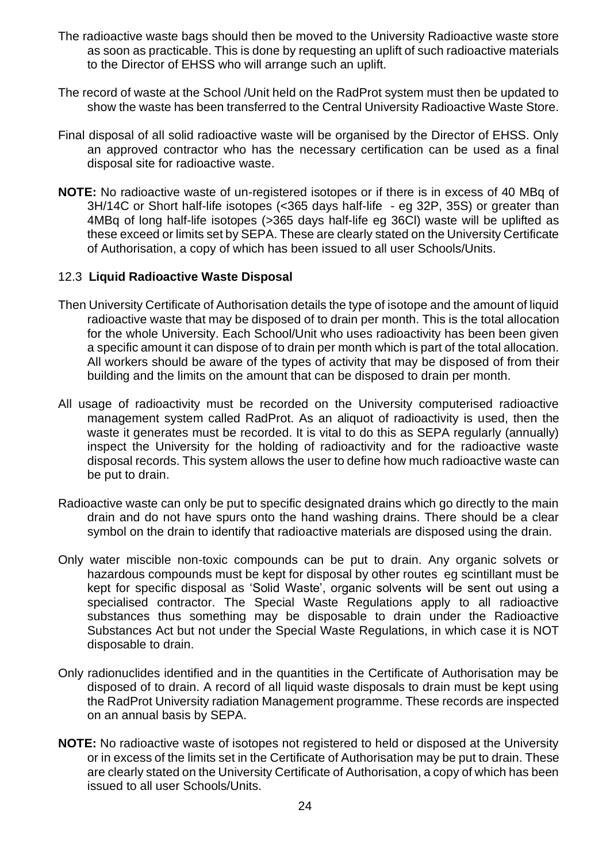- The radioactive waste bags should then be moved to the University Radioactive waste store as soon as practicable. This is done by requesting an uplift of such radioactive materials to the Director of EHSS who will arrange such an uplift.
- The record of waste at the School /Unit held on the RadProt system must then be updated to show the waste has been transferred to the Central University Radioactive Waste Store.
- Final disposal of all solid radioactive waste will be organised by the Director of EHSS. Only an approved contractor who has the necessary certification can be used as a final disposal site for radioactive waste.
- **NOTE:** No radioactive waste of un-registered isotopes or if there is in excess of 40 MBq of 3H/14C or Short half-life isotopes (<365 days half-life - eg 32P, 35S) or greater than 4MBq of long half-life isotopes (>365 days half-life eg 36Cl) waste will be uplifted as these exceed or limits set by SEPA. These are clearly stated on the University Certificate of Authorisation, a copy of which has been issued to all user Schools/Units.

#### 12.3 **Liquid Radioactive Waste Disposal**

- Then University Certificate of Authorisation details the type of isotope and the amount of liquid radioactive waste that may be disposed of to drain per month. This is the total allocation for the whole University. Each School/Unit who uses radioactivity has been been given a specific amount it can dispose of to drain per month which is part of the total allocation. All workers should be aware of the types of activity that may be disposed of from their building and the limits on the amount that can be disposed to drain per month.
- All usage of radioactivity must be recorded on the University computerised radioactive management system called RadProt. As an aliquot of radioactivity is used, then the waste it generates must be recorded. It is vital to do this as SEPA regularly (annually) inspect the University for the holding of radioactivity and for the radioactive waste disposal records. This system allows the user to define how much radioactive waste can be put to drain.
- Radioactive waste can only be put to specific designated drains which go directly to the main drain and do not have spurs onto the hand washing drains. There should be a clear symbol on the drain to identify that radioactive materials are disposed using the drain.
- Only water miscible non-toxic compounds can be put to drain. Any organic solvets or hazardous compounds must be kept for disposal by other routes eg scintillant must be kept for specific disposal as 'Solid Waste', organic solvents will be sent out using a specialised contractor. The Special Waste Regulations apply to all radioactive substances thus something may be disposable to drain under the Radioactive Substances Act but not under the Special Waste Regulations, in which case it is NOT disposable to drain.
- Only radionuclides identified and in the quantities in the Certificate of Authorisation may be disposed of to drain. A record of all liquid waste disposals to drain must be kept using the RadProt University radiation Management programme. These records are inspected on an annual basis by SEPA.
- **NOTE:** No radioactive waste of isotopes not registered to held or disposed at the University or in excess of the limits set in the Certificate of Authorisation may be put to drain. These are clearly stated on the University Certificate of Authorisation, a copy of which has been issued to all user Schools/Units.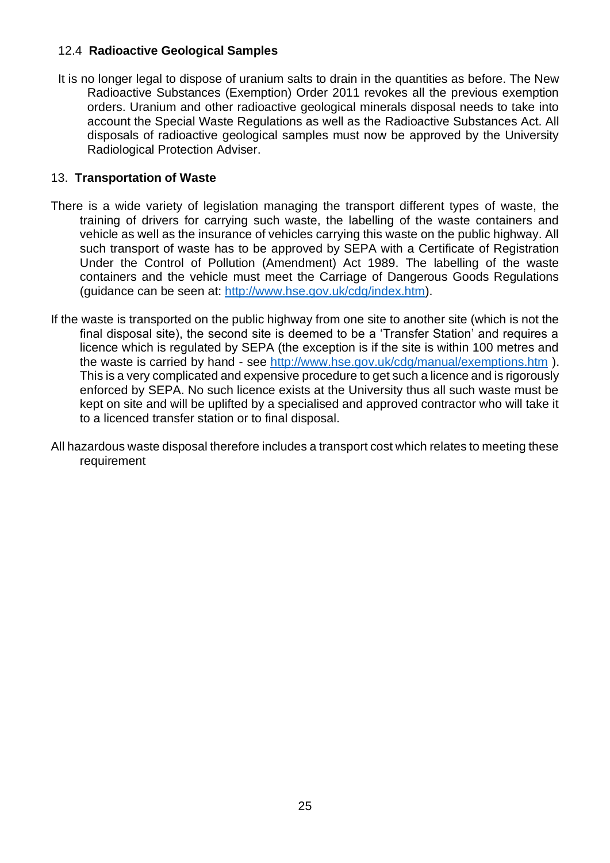# 12.4 **Radioactive Geological Samples**

It is no longer legal to dispose of uranium salts to drain in the quantities as before. The New Radioactive Substances (Exemption) Order 2011 revokes all the previous exemption orders. Uranium and other radioactive geological minerals disposal needs to take into account the Special Waste Regulations as well as the Radioactive Substances Act. All disposals of radioactive geological samples must now be approved by the University Radiological Protection Adviser.

# 13. **Transportation of Waste**

- There is a wide variety of legislation managing the transport different types of waste, the training of drivers for carrying such waste, the labelling of the waste containers and vehicle as well as the insurance of vehicles carrying this waste on the public highway. All such transport of waste has to be approved by SEPA with a Certificate of Registration Under the Control of Pollution (Amendment) Act 1989. The labelling of the waste containers and the vehicle must meet the Carriage of Dangerous Goods Regulations (guidance can be seen at: [http://www.hse.gov.uk/cdg/index.htm\)](http://www.hse.gov.uk/cdg/index.htm).
- If the waste is transported on the public highway from one site to another site (which is not the final disposal site), the second site is deemed to be a 'Transfer Station' and requires a licence which is regulated by SEPA (the exception is if the site is within 100 metres and the waste is carried by hand - see<http://www.hse.gov.uk/cdg/manual/exemptions.htm> ). This is a very complicated and expensive procedure to get such a licence and is rigorously enforced by SEPA. No such licence exists at the University thus all such waste must be kept on site and will be uplifted by a specialised and approved contractor who will take it to a licenced transfer station or to final disposal.
- All hazardous waste disposal therefore includes a transport cost which relates to meeting these requirement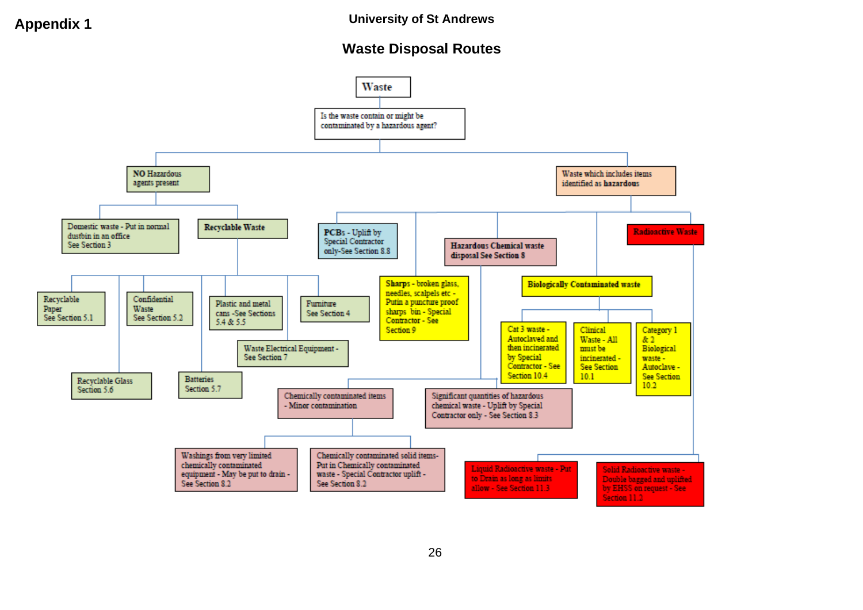# **Waste Disposal Routes**

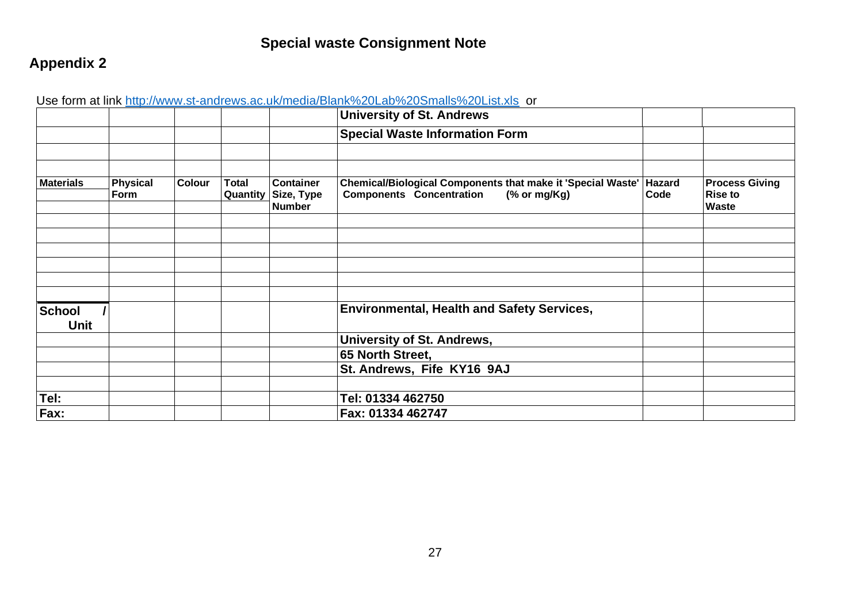# **Special waste Consignment Note**

# **Appendix 2**

|                  |                  |        |                          |                                                 | <u>USG TUTTI ALTIIN TIIID.//WWW.SC-ALIULGWS.AU.UNTITGUIA/DIAHN/0ZULAU/0ZUUTIAIIS/0ZULISLAIS_UL</u><br><b>University of St. Andrews</b> |                |                                                  |
|------------------|------------------|--------|--------------------------|-------------------------------------------------|----------------------------------------------------------------------------------------------------------------------------------------|----------------|--------------------------------------------------|
|                  |                  |        |                          |                                                 | <b>Special Waste Information Form</b>                                                                                                  |                |                                                  |
|                  |                  |        |                          |                                                 |                                                                                                                                        |                |                                                  |
| <b>Materials</b> | Physical<br>Form | Colour | <b>Total</b><br>Quantity | <b>Container</b><br>Size, Type<br><b>Number</b> | Chemical/Biological Components that make it 'Special Waste'<br><b>Components Concentration</b><br>$%$ or mg/Kg)                        | Hazard<br>Code | <b>Process Giving</b><br><b>Rise to</b><br>Waste |
|                  |                  |        |                          |                                                 |                                                                                                                                        |                |                                                  |
|                  |                  |        |                          |                                                 |                                                                                                                                        |                |                                                  |
|                  |                  |        |                          |                                                 |                                                                                                                                        |                |                                                  |
|                  |                  |        |                          |                                                 |                                                                                                                                        |                |                                                  |
|                  |                  |        |                          |                                                 |                                                                                                                                        |                |                                                  |
|                  |                  |        |                          |                                                 |                                                                                                                                        |                |                                                  |
| <b>School</b>    |                  |        |                          |                                                 | <b>Environmental, Health and Safety Services,</b>                                                                                      |                |                                                  |
| <b>Unit</b>      |                  |        |                          |                                                 |                                                                                                                                        |                |                                                  |
|                  |                  |        |                          |                                                 | University of St. Andrews,                                                                                                             |                |                                                  |
|                  |                  |        |                          |                                                 | 65 North Street,                                                                                                                       |                |                                                  |
|                  |                  |        |                          |                                                 | St. Andrews, Fife KY16 9AJ                                                                                                             |                |                                                  |
|                  |                  |        |                          |                                                 |                                                                                                                                        |                |                                                  |
| Tel:             |                  |        |                          |                                                 | Tel: 01334 462750                                                                                                                      |                |                                                  |
| Fax:             |                  |        |                          |                                                 | Fax: 01334 462747                                                                                                                      |                |                                                  |

Use form at link http://www.st-andrews.ac.uk/media/Blank%20Lab%20Smalls%20List.xls. or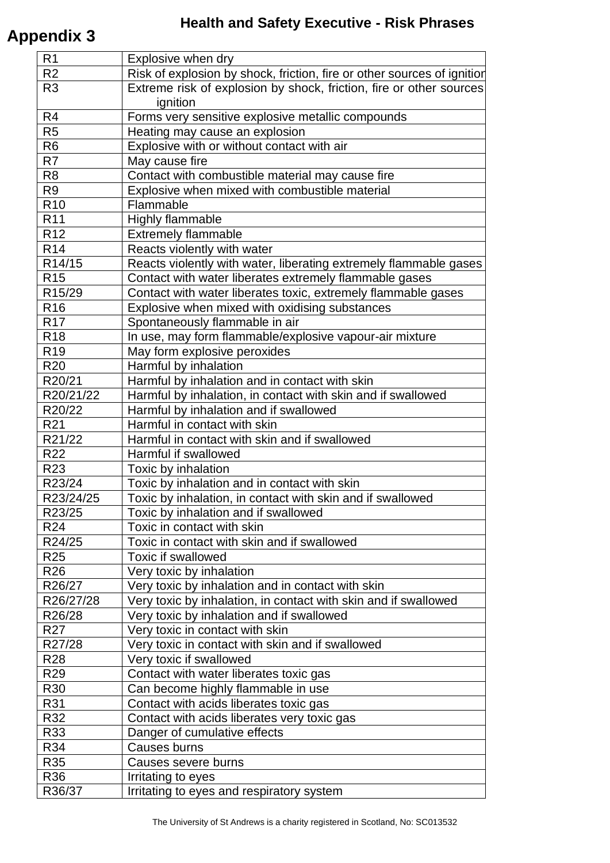# **Appendix 3**

| R <sub>1</sub>  | Explosive when dry                                                              |
|-----------------|---------------------------------------------------------------------------------|
| R <sub>2</sub>  | Risk of explosion by shock, friction, fire or other sources of ignition         |
| R <sub>3</sub>  | Extreme risk of explosion by shock, friction, fire or other sources<br>ignition |
| R <sub>4</sub>  | Forms very sensitive explosive metallic compounds                               |
| R <sub>5</sub>  | Heating may cause an explosion                                                  |
| R <sub>6</sub>  | Explosive with or without contact with air                                      |
| R <sub>7</sub>  | May cause fire                                                                  |
| R <sub>8</sub>  | Contact with combustible material may cause fire                                |
| R <sub>9</sub>  | Explosive when mixed with combustible material                                  |
| R <sub>10</sub> | Flammable                                                                       |
| R <sub>11</sub> | Highly flammable                                                                |
| R <sub>12</sub> | <b>Extremely flammable</b>                                                      |
| R <sub>14</sub> | Reacts violently with water                                                     |
| R14/15          | Reacts violently with water, liberating extremely flammable gases               |
| R <sub>15</sub> | Contact with water liberates extremely flammable gases                          |
| R15/29          | Contact with water liberates toxic, extremely flammable gases                   |
| R <sub>16</sub> | Explosive when mixed with oxidising substances                                  |
| R <sub>17</sub> | Spontaneously flammable in air                                                  |
| R <sub>18</sub> | In use, may form flammable/explosive vapour-air mixture                         |
| R <sub>19</sub> | May form explosive peroxides                                                    |
| R <sub>20</sub> | Harmful by inhalation                                                           |
| R20/21          | Harmful by inhalation and in contact with skin                                  |
| R20/21/22       | Harmful by inhalation, in contact with skin and if swallowed                    |
| R20/22          | Harmful by inhalation and if swallowed                                          |
| R <sub>21</sub> | Harmful in contact with skin                                                    |
| R21/22          | Harmful in contact with skin and if swallowed                                   |
| R <sub>22</sub> | Harmful if swallowed                                                            |
| R <sub>23</sub> | Toxic by inhalation                                                             |
| R23/24          | Toxic by inhalation and in contact with skin                                    |
| R23/24/25       | Toxic by inhalation, in contact with skin and if swallowed                      |
| R23/25          | Toxic by inhalation and if swallowed                                            |
| R <sub>24</sub> | Toxic in contact with skin                                                      |
| R24/25          | Toxic in contact with skin and if swallowed                                     |
| R <sub>25</sub> | <b>Toxic if swallowed</b>                                                       |
| R <sub>26</sub> | Very toxic by inhalation                                                        |
| R26/27          | Very toxic by inhalation and in contact with skin                               |
| R26/27/28       | Very toxic by inhalation, in contact with skin and if swallowed                 |
| R26/28          | Very toxic by inhalation and if swallowed                                       |
| R <sub>27</sub> | Very toxic in contact with skin                                                 |
| R27/28          | Very toxic in contact with skin and if swallowed                                |
| <b>R28</b>      | Very toxic if swallowed                                                         |
| R <sub>29</sub> | Contact with water liberates toxic gas                                          |
| R30             | Can become highly flammable in use                                              |
| R31             | Contact with acids liberates toxic gas                                          |
| R32             | Contact with acids liberates very toxic gas                                     |
| R33             | Danger of cumulative effects                                                    |
| R34             | Causes burns                                                                    |
| R35             | Causes severe burns                                                             |
| R36             | Irritating to eyes                                                              |
| R36/37          | Irritating to eyes and respiratory system                                       |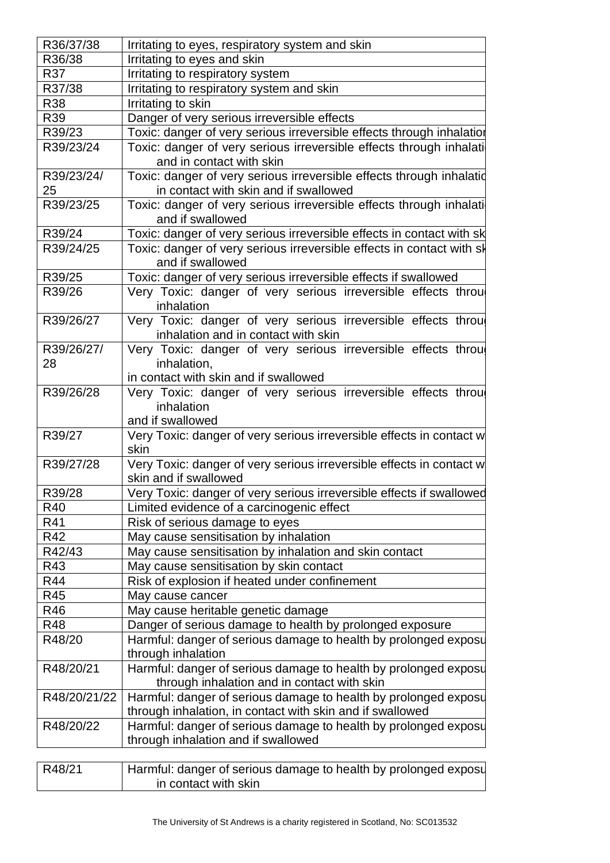| R36/37/38    | Irritating to eyes, respiratory system and skin                       |  |  |
|--------------|-----------------------------------------------------------------------|--|--|
| R36/38       | Irritating to eyes and skin                                           |  |  |
| R37          | Irritating to respiratory system                                      |  |  |
| R37/38       | Irritating to respiratory system and skin                             |  |  |
| <b>R38</b>   | Irritating to skin                                                    |  |  |
| R39          | Danger of very serious irreversible effects                           |  |  |
| R39/23       | Toxic: danger of very serious irreversible effects through inhalatior |  |  |
| R39/23/24    | Toxic: danger of very serious irreversible effects through inhalati   |  |  |
|              | and in contact with skin                                              |  |  |
| R39/23/24/   | Toxic: danger of very serious irreversible effects through inhalatid  |  |  |
| 25           | in contact with skin and if swallowed                                 |  |  |
| R39/23/25    | Toxic: danger of very serious irreversible effects through inhalati   |  |  |
|              | and if swallowed                                                      |  |  |
| R39/24       | Toxic: danger of very serious irreversible effects in contact with sk |  |  |
| R39/24/25    | Toxic: danger of very serious irreversible effects in contact with sk |  |  |
|              | and if swallowed                                                      |  |  |
| R39/25       | Toxic: danger of very serious irreversible effects if swallowed       |  |  |
| R39/26       | Very Toxic: danger of very serious irreversible effects throu         |  |  |
|              | inhalation                                                            |  |  |
| R39/26/27    | Very Toxic: danger of very serious irreversible effects throu         |  |  |
|              | inhalation and in contact with skin                                   |  |  |
| R39/26/27/   | Very Toxic: danger of very serious irreversible effects throu         |  |  |
| 28           | inhalation,                                                           |  |  |
|              | in contact with skin and if swallowed                                 |  |  |
| R39/26/28    | Very Toxic: danger of very serious irreversible effects throu         |  |  |
|              | inhalation                                                            |  |  |
|              | and if swallowed                                                      |  |  |
| R39/27       | Very Toxic: danger of very serious irreversible effects in contact w  |  |  |
|              | skin                                                                  |  |  |
| R39/27/28    | Very Toxic: danger of very serious irreversible effects in contact w  |  |  |
|              | skin and if swallowed                                                 |  |  |
| R39/28       | Very Toxic: danger of very serious irreversible effects if swallowed  |  |  |
| R40          | Limited evidence of a carcinogenic effect                             |  |  |
| R41          | Risk of serious damage to eyes                                        |  |  |
| R42          | May cause sensitisation by inhalation                                 |  |  |
| R42/43       | May cause sensitisation by inhalation and skin contact                |  |  |
| R43          | May cause sensitisation by skin contact                               |  |  |
| R44          | Risk of explosion if heated under confinement                         |  |  |
| R45          | May cause cancer                                                      |  |  |
| R46          | May cause heritable genetic damage                                    |  |  |
| R48          | Danger of serious damage to health by prolonged exposure              |  |  |
| R48/20       | Harmful: danger of serious damage to health by prolonged exposu       |  |  |
|              | through inhalation                                                    |  |  |
| R48/20/21    | Harmful: danger of serious damage to health by prolonged exposu       |  |  |
|              | through inhalation and in contact with skin                           |  |  |
| R48/20/21/22 | Harmful: danger of serious damage to health by prolonged exposu       |  |  |
|              | through inhalation, in contact with skin and if swallowed             |  |  |
| R48/20/22    | Harmful: danger of serious damage to health by prolonged exposu       |  |  |
|              | through inhalation and if swallowed                                   |  |  |
|              |                                                                       |  |  |
| R48/21       | Harmful: danger of serious damage to health by prolonged exposu       |  |  |
|              | in contact with skin                                                  |  |  |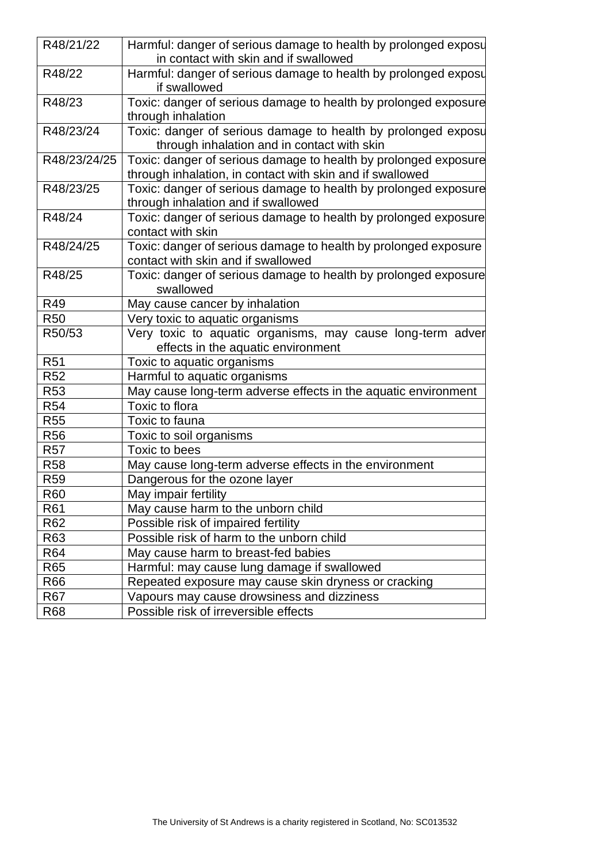| R48/21/22       | Harmful: danger of serious damage to health by prolonged exposu |  |
|-----------------|-----------------------------------------------------------------|--|
|                 | in contact with skin and if swallowed                           |  |
| R48/22          | Harmful: danger of serious damage to health by prolonged exposu |  |
|                 | if swallowed                                                    |  |
| R48/23          | Toxic: danger of serious damage to health by prolonged exposure |  |
|                 | through inhalation                                              |  |
| R48/23/24       | Toxic: danger of serious damage to health by prolonged exposu   |  |
|                 | through inhalation and in contact with skin                     |  |
| R48/23/24/25    | Toxic: danger of serious damage to health by prolonged exposure |  |
|                 | through inhalation, in contact with skin and if swallowed       |  |
| R48/23/25       | Toxic: danger of serious damage to health by prolonged exposure |  |
|                 | through inhalation and if swallowed                             |  |
| R48/24          | Toxic: danger of serious damage to health by prolonged exposure |  |
|                 | contact with skin                                               |  |
| R48/24/25       | Toxic: danger of serious damage to health by prolonged exposure |  |
|                 | contact with skin and if swallowed                              |  |
| R48/25          | Toxic: danger of serious damage to health by prolonged exposure |  |
|                 | swallowed                                                       |  |
| R49             | May cause cancer by inhalation                                  |  |
| <b>R50</b>      | Very toxic to aquatic organisms                                 |  |
| R50/53          | Very toxic to aquatic organisms, may cause long-term adver      |  |
|                 | effects in the aquatic environment                              |  |
| R <sub>51</sub> | Toxic to aquatic organisms                                      |  |
| R <sub>52</sub> | Harmful to aquatic organisms                                    |  |
| R <sub>53</sub> | May cause long-term adverse effects in the aquatic environment  |  |
| R <sub>54</sub> | Toxic to flora                                                  |  |
| <b>R55</b>      | Toxic to fauna                                                  |  |
| <b>R56</b>      | Toxic to soil organisms                                         |  |
| <b>R57</b>      | Toxic to bees                                                   |  |
| <b>R58</b>      | May cause long-term adverse effects in the environment          |  |
| R <sub>59</sub> | Dangerous for the ozone layer                                   |  |
| R60             | May impair fertility                                            |  |
| R61             | May cause harm to the unborn child                              |  |
| R62             | Possible risk of impaired fertility                             |  |
| R63             | Possible risk of harm to the unborn child                       |  |
| R64             | May cause harm to breast-fed babies                             |  |
| R65             | Harmful: may cause lung damage if swallowed                     |  |
| R66             | Repeated exposure may cause skin dryness or cracking            |  |
| <b>R67</b>      | Vapours may cause drowsiness and dizziness                      |  |
| R68             | Possible risk of irreversible effects                           |  |
|                 |                                                                 |  |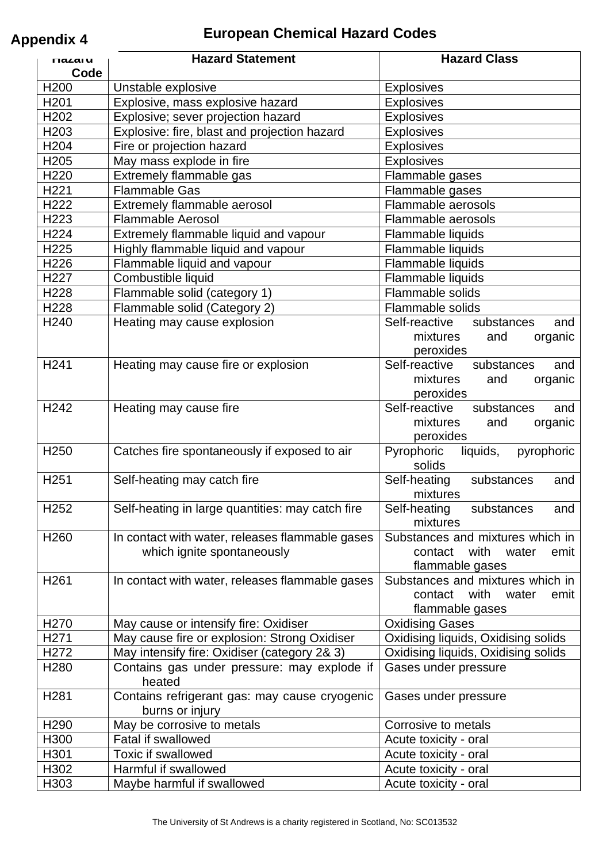# **European Chemical Hazard Codes Appendix 4**

| <b>MALAIU</b>    | <b>Hazard Statement</b>                                                       | <b>Hazard Class</b>                            |
|------------------|-------------------------------------------------------------------------------|------------------------------------------------|
| Code             |                                                                               |                                                |
| H <sub>200</sub> | Unstable explosive                                                            | <b>Explosives</b>                              |
| H <sub>201</sub> | Explosive, mass explosive hazard                                              | <b>Explosives</b>                              |
| H <sub>202</sub> | Explosive; sever projection hazard                                            | Explosives                                     |
| H203             | Explosive: fire, blast and projection hazard                                  | <b>Explosives</b>                              |
| H <sub>204</sub> | Fire or projection hazard                                                     | Explosives                                     |
| H <sub>205</sub> | May mass explode in fire                                                      | <b>Explosives</b>                              |
| H <sub>220</sub> | Extremely flammable gas                                                       | Flammable gases                                |
| H221             | <b>Flammable Gas</b>                                                          | Flammable gases                                |
| H <sub>222</sub> | Extremely flammable aerosol                                                   | Flammable aerosols                             |
| H <sub>223</sub> | <b>Flammable Aerosol</b>                                                      | Flammable aerosols                             |
| H <sub>224</sub> | Extremely flammable liquid and vapour                                         | Flammable liquids                              |
| H225             | Highly flammable liquid and vapour                                            | Flammable liquids                              |
| H226             | Flammable liquid and vapour                                                   | Flammable liquids                              |
| H <sub>227</sub> | Combustible liquid                                                            | Flammable liquids                              |
| H228             | Flammable solid (category 1)                                                  | Flammable solids                               |
| H <sub>228</sub> | Flammable solid (Category 2)                                                  | Flammable solids                               |
| H <sub>240</sub> | Heating may cause explosion                                                   | Self-reactive<br>substances<br>and<br>mixtures |
|                  |                                                                               | organic<br>and<br>peroxides                    |
| H241             | Heating may cause fire or explosion                                           | Self-reactive<br>substances<br>and             |
|                  |                                                                               | mixtures<br>organic<br>and                     |
|                  |                                                                               | peroxides                                      |
| H <sub>242</sub> | Heating may cause fire                                                        | Self-reactive<br>substances<br>and             |
|                  |                                                                               | mixtures<br>organic<br>and                     |
|                  |                                                                               | peroxides                                      |
| H <sub>250</sub> | Catches fire spontaneously if exposed to air                                  | Pyrophoric<br>liquids,<br>pyrophoric           |
|                  |                                                                               | solids                                         |
| H <sub>251</sub> | Self-heating may catch fire                                                   | Self-heating<br>substances<br>and              |
|                  |                                                                               | mixtures                                       |
| H252             | Self-heating in large quantities: may catch fire                              | Self-heating<br>substances<br>and              |
| H <sub>260</sub> |                                                                               | mixtures<br>Substances and mixtures which in   |
|                  | In contact with water, releases flammable gases<br>which ignite spontaneously | contact with<br>water<br>emit                  |
|                  |                                                                               | flammable gases                                |
| H261             | In contact with water, releases flammable gases                               | Substances and mixtures which in               |
|                  |                                                                               | contact with<br>emit<br>water                  |
|                  |                                                                               | flammable gases                                |
| H <sub>270</sub> | May cause or intensify fire: Oxidiser                                         | <b>Oxidising Gases</b>                         |
| H <sub>271</sub> | May cause fire or explosion: Strong Oxidiser                                  | Oxidising liquids, Oxidising solids            |
| H <sub>272</sub> | May intensify fire: Oxidiser (category 2& 3)                                  | Oxidising liquids, Oxidising solids            |
| H <sub>280</sub> | Contains gas under pressure: may explode if                                   | Gases under pressure                           |
|                  | heated                                                                        |                                                |
| H <sub>281</sub> | Contains refrigerant gas: may cause cryogenic                                 | Gases under pressure                           |
|                  | burns or injury                                                               |                                                |
| H <sub>290</sub> | May be corrosive to metals                                                    | Corrosive to metals                            |
| H300             | <b>Fatal if swallowed</b>                                                     | Acute toxicity - oral                          |
| H301             | <b>Toxic if swallowed</b>                                                     | Acute toxicity - oral                          |
| H302             | Harmful if swallowed                                                          | Acute toxicity - oral                          |
| H303             | Maybe harmful if swallowed                                                    | Acute toxicity - oral                          |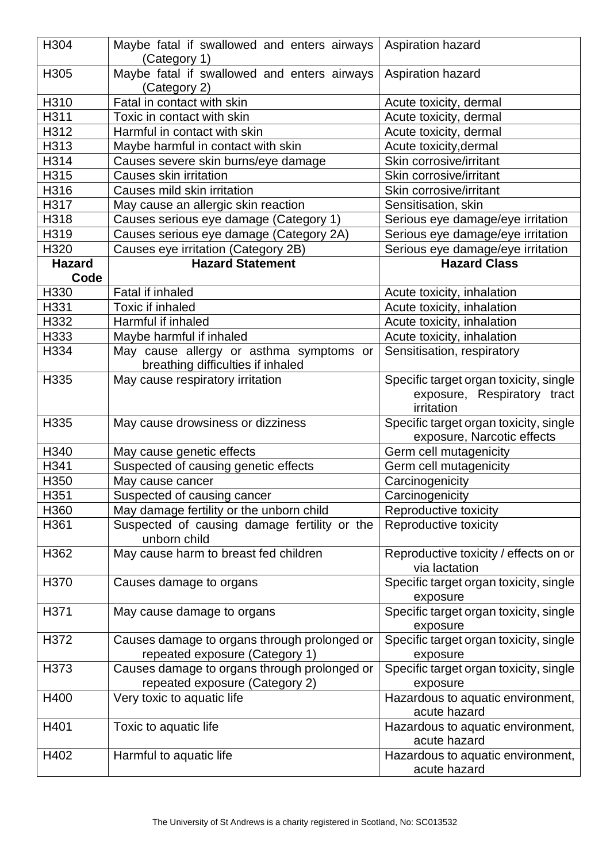| H304          | Maybe fatal if swallowed and enters airways<br>(Category 1)                    | Aspiration hazard                                                                   |  |
|---------------|--------------------------------------------------------------------------------|-------------------------------------------------------------------------------------|--|
| H305          | Maybe fatal if swallowed and enters airways<br>(Category 2)                    | Aspiration hazard                                                                   |  |
| H310          | Fatal in contact with skin                                                     | Acute toxicity, dermal                                                              |  |
| H311          | Toxic in contact with skin                                                     | Acute toxicity, dermal                                                              |  |
| H312          | Harmful in contact with skin                                                   | Acute toxicity, dermal                                                              |  |
| H313          | Maybe harmful in contact with skin                                             | Acute toxicity, dermal                                                              |  |
| H314          | Causes severe skin burns/eye damage                                            | Skin corrosive/irritant                                                             |  |
| H315          | Causes skin irritation                                                         | Skin corrosive/irritant                                                             |  |
| H316          | Causes mild skin irritation                                                    | Skin corrosive/irritant                                                             |  |
| H317          | May cause an allergic skin reaction                                            | Sensitisation, skin                                                                 |  |
| H318          | Causes serious eye damage (Category 1)                                         | Serious eye damage/eye irritation                                                   |  |
| H319          | Causes serious eye damage (Category 2A)                                        | Serious eye damage/eye irritation                                                   |  |
| H320          | Causes eye irritation (Category 2B)                                            | Serious eye damage/eye irritation                                                   |  |
| <b>Hazard</b> | <b>Hazard Statement</b>                                                        | <b>Hazard Class</b>                                                                 |  |
| Code          |                                                                                |                                                                                     |  |
| H330          | <b>Fatal if inhaled</b>                                                        | Acute toxicity, inhalation                                                          |  |
| H331          | <b>Toxic if inhaled</b>                                                        | Acute toxicity, inhalation                                                          |  |
| H332          | Harmful if inhaled                                                             | Acute toxicity, inhalation                                                          |  |
| H333          | Maybe harmful if inhaled                                                       | Acute toxicity, inhalation                                                          |  |
| H334          | May cause allergy or asthma symptoms or<br>breathing difficulties if inhaled   | Sensitisation, respiratory                                                          |  |
| H335          | May cause respiratory irritation                                               | Specific target organ toxicity, single<br>exposure, Respiratory tract<br>irritation |  |
| H335          | May cause drowsiness or dizziness                                              | Specific target organ toxicity, single<br>exposure, Narcotic effects                |  |
| H340          | May cause genetic effects                                                      | Germ cell mutagenicity                                                              |  |
| H341          | Suspected of causing genetic effects                                           | Germ cell mutagenicity                                                              |  |
| H350          | May cause cancer                                                               | Carcinogenicity                                                                     |  |
| H351          | Suspected of causing cancer                                                    | Carcinogenicity                                                                     |  |
| H360          | May damage fertility or the unborn child                                       | Reproductive toxicity                                                               |  |
| H361          | Suspected of causing damage fertility or the<br>unborn child                   | Reproductive toxicity                                                               |  |
| H362          | May cause harm to breast fed children                                          | Reproductive toxicity / effects on or<br>via lactation                              |  |
| H370          | Causes damage to organs                                                        | Specific target organ toxicity, single<br>exposure                                  |  |
| H371          | May cause damage to organs                                                     | Specific target organ toxicity, single<br>exposure                                  |  |
| H372          | Causes damage to organs through prolonged or<br>repeated exposure (Category 1) | Specific target organ toxicity, single<br>exposure                                  |  |
| H373          | Causes damage to organs through prolonged or<br>repeated exposure (Category 2) | Specific target organ toxicity, single<br>exposure                                  |  |
| H400          | Very toxic to aquatic life                                                     | Hazardous to aquatic environment,<br>acute hazard                                   |  |
| H401          | Toxic to aquatic life                                                          | Hazardous to aquatic environment,<br>acute hazard                                   |  |
| H402          | Harmful to aquatic life                                                        | Hazardous to aquatic environment,<br>acute hazard                                   |  |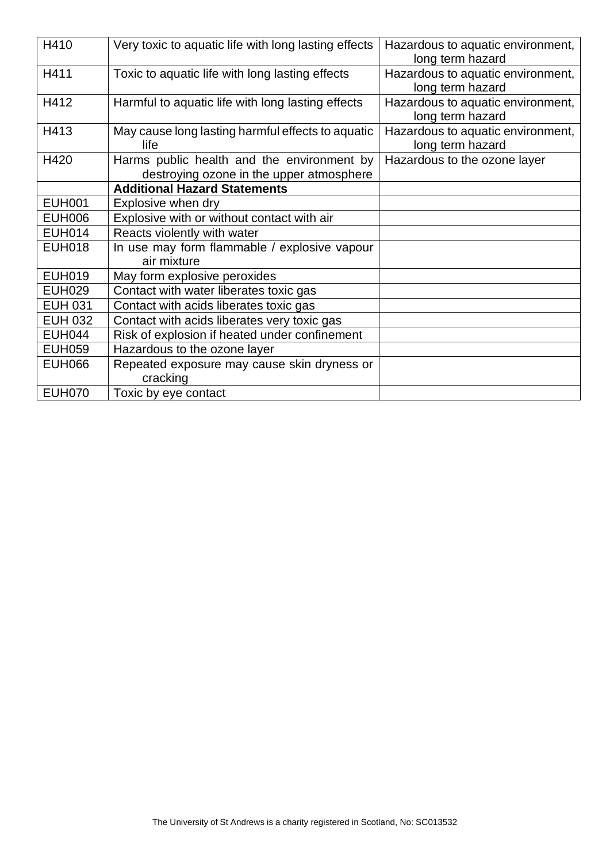| H410           | Very toxic to aquatic life with long lasting effects                                   | Hazardous to aquatic environment,<br>long term hazard |
|----------------|----------------------------------------------------------------------------------------|-------------------------------------------------------|
| H411           | Toxic to aquatic life with long lasting effects                                        | Hazardous to aquatic environment,<br>long term hazard |
| H412           | Harmful to aquatic life with long lasting effects                                      | Hazardous to aquatic environment,<br>long term hazard |
| H413           | May cause long lasting harmful effects to aquatic<br>life                              | Hazardous to aquatic environment,<br>long term hazard |
| H420           | Harms public health and the environment by<br>destroying ozone in the upper atmosphere | Hazardous to the ozone layer                          |
|                | <b>Additional Hazard Statements</b>                                                    |                                                       |
| <b>EUH001</b>  | Explosive when dry                                                                     |                                                       |
| <b>EUH006</b>  | Explosive with or without contact with air                                             |                                                       |
| <b>EUH014</b>  | Reacts violently with water                                                            |                                                       |
| <b>EUH018</b>  | In use may form flammable / explosive vapour<br>air mixture                            |                                                       |
| <b>EUH019</b>  | May form explosive peroxides                                                           |                                                       |
| <b>EUH029</b>  | Contact with water liberates toxic gas                                                 |                                                       |
| <b>EUH 031</b> | Contact with acids liberates toxic gas                                                 |                                                       |
| <b>EUH 032</b> | Contact with acids liberates very toxic gas                                            |                                                       |
| <b>EUH044</b>  | Risk of explosion if heated under confinement                                          |                                                       |
| <b>EUH059</b>  | Hazardous to the ozone layer                                                           |                                                       |
| <b>EUH066</b>  | Repeated exposure may cause skin dryness or<br>cracking                                |                                                       |
| <b>EUH070</b>  | Toxic by eye contact                                                                   |                                                       |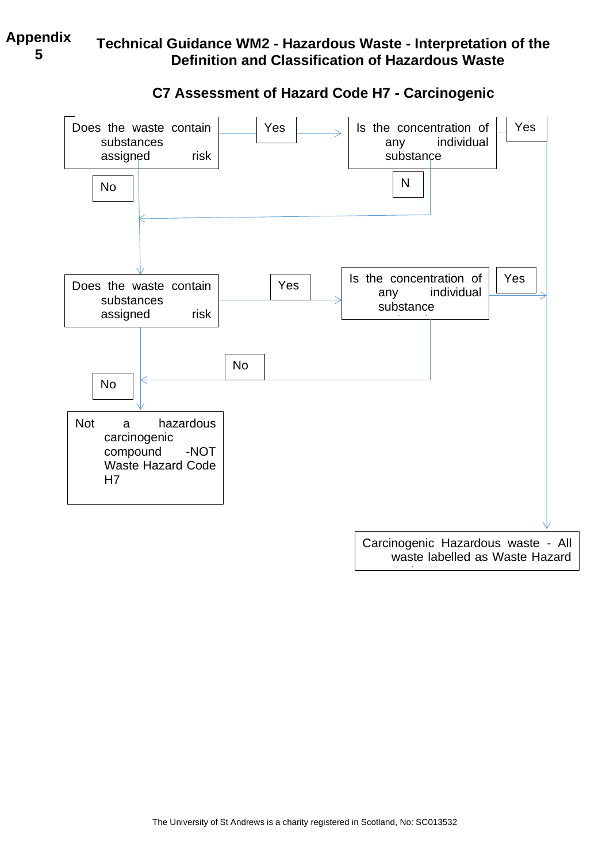# **Technical Guidance WM2 - Hazardous Waste - Interpretation of the Definition and Classification of Hazardous Waste**



# **C7 Assessment of Hazard Code H7 - Carcinogenic**